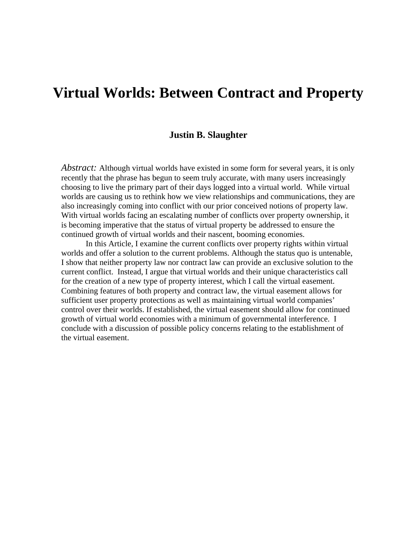## **Virtual Worlds: Between Contract and Property**

#### **Justin B. Slaughter**

*Abstract:* Although virtual worlds have existed in some form for several years, it is only recently that the phrase has begun to seem truly accurate, with many users increasingly choosing to live the primary part of their days logged into a virtual world. While virtual worlds are causing us to rethink how we view relationships and communications, they are also increasingly coming into conflict with our prior conceived notions of property law. With virtual worlds facing an escalating number of conflicts over property ownership, it is becoming imperative that the status of virtual property be addressed to ensure the continued growth of virtual worlds and their nascent, booming economies.

In this Article, I examine the current conflicts over property rights within virtual worlds and offer a solution to the current problems. Although the status quo is untenable, I show that neither property law nor contract law can provide an exclusive solution to the current conflict. Instead, I argue that virtual worlds and their unique characteristics call for the creation of a new type of property interest, which I call the virtual easement. Combining features of both property and contract law, the virtual easement allows for sufficient user property protections as well as maintaining virtual world companies' control over their worlds. If established, the virtual easement should allow for continued growth of virtual world economies with a minimum of governmental interference. I conclude with a discussion of possible policy concerns relating to the establishment of the virtual easement.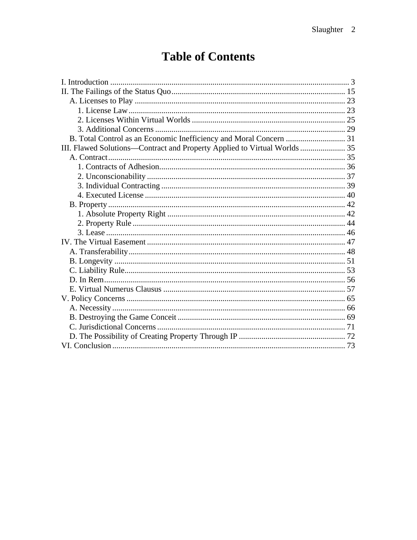# **Table of Contents**

| III. Flawed Solutions—Contract and Property Applied to Virtual Worlds  35 |  |
|---------------------------------------------------------------------------|--|
|                                                                           |  |
|                                                                           |  |
|                                                                           |  |
|                                                                           |  |
|                                                                           |  |
|                                                                           |  |
|                                                                           |  |
|                                                                           |  |
|                                                                           |  |
|                                                                           |  |
|                                                                           |  |
|                                                                           |  |
|                                                                           |  |
|                                                                           |  |
|                                                                           |  |
|                                                                           |  |
|                                                                           |  |
|                                                                           |  |
|                                                                           |  |
|                                                                           |  |
|                                                                           |  |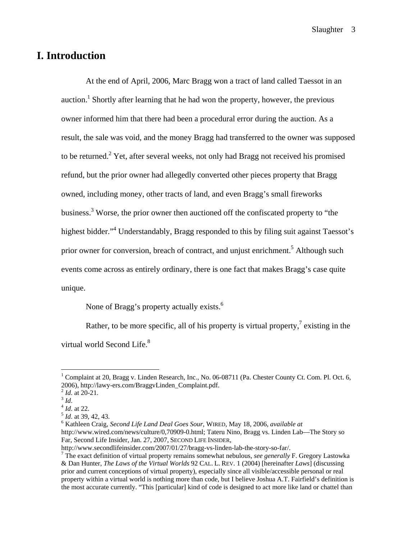## **I. Introduction**

 At the end of April, 2006, Marc Bragg won a tract of land called Taessot in an auction.<sup>1</sup> Shortly after learning that he had won the property, however, the previous owner informed him that there had been a procedural error during the auction. As a result, the sale was void, and the money Bragg had transferred to the owner was supposed to be returned.<sup>2</sup> Yet, after several weeks, not only had Bragg not received his promised refund, but the prior owner had allegedly converted other pieces property that Bragg owned, including money, other tracts of land, and even Bragg's small fireworks business.<sup>3</sup> Worse, the prior owner then auctioned off the confiscated property to "the highest bidder."<sup>4</sup> Understandably, Bragg responded to this by filing suit against Taessot's prior owner for conversion, breach of contract, and unjust enrichment.<sup>5</sup> Although such events come across as entirely ordinary, there is one fact that makes Bragg's case quite unique.

None of Bragg's property actually exists.<sup>6</sup>

Rather, to be more specific, all of his property is virtual property,<sup>7</sup> existing in the virtual world Second Life.<sup>8</sup>

<sup>&</sup>lt;sup>1</sup> Complaint at 20, Bragg v. Linden Research, Inc., No. 06-08711 (Pa. Chester County Ct. Com. Pl. Oct. 6, 2006), http://lawy-ers.com/BraggvLinden\_Complaint.pdf.<br>
<sup>2</sup> Id. at 20-21.

<sup>&</sup>lt;sup>3</sup> *Id.* <br><sup>4</sup> *Id.* at 22. <sup>5</sup> *Id.* at 39, 42, 43.

Kathleen Craig, *Second Life Land Deal Goes Sour*, WIRED, May 18, 2006, *available at* http://www.wired.com/news/culture/0,70909-0.html; Tateru Nino, Bragg vs. Linden Lab—The Story so Far, Second Life Insider, Jan. 27, 2007, SECOND LIFE INSIDER,

http://www.secondlifeinsider.com/2007/01/27/bragg-vs-linden-lab-the-story-so-far/.

The exact definition of virtual property remains somewhat nebulous, *see generally* F. Gregory Lastowka & Dan Hunter, *The Laws of the Virtual Worlds* 92 CAL. L. REV. 1 (2004) [hereinafter *Laws*] (discussing prior and current conceptions of virtual property), especially since all visible/accessible personal or real property within a virtual world is nothing more than code, but I believe Joshua A.T. Fairfield's definition is the most accurate currently. "This [particular] kind of code is designed to act more like land or chattel than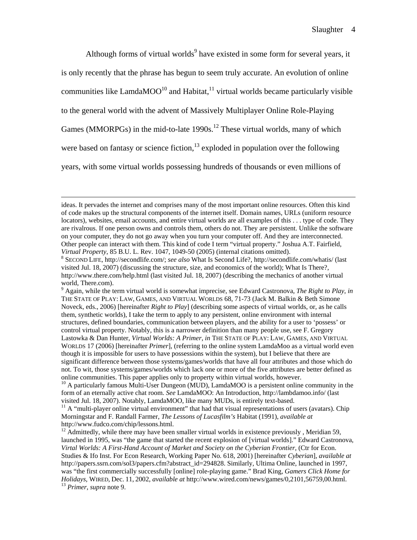Although forms of virtual worlds<sup>9</sup> have existed in some form for several years, it is only recently that the phrase has begun to seem truly accurate. An evolution of online communities like LamdaMOO $^{10}$  and Habitat,  $^{11}$  virtual worlds became particularly visible to the general world with the advent of Massively Multiplayer Online Role-Playing Games (MMORPGs) in the mid-to-late  $1990s$ .<sup>12</sup> These virtual worlds, many of which were based on fantasy or science fiction, $13$  exploded in population over the following years, with some virtual worlds possessing hundreds of thousands or even millions of

ideas. It pervades the internet and comprises many of the most important online resources. Often this kind of code makes up the structural components of the internet itself. Domain names, URLs (uniform resource locators), websites, email accounts, and entire virtual worlds are all examples of this . . . type of code. They are rivalrous. If one person owns and controls them, others do not. They are persistent. Unlike the software on your computer, they do not go away when you turn your computer off. And they are interconnected. Other people can interact with them. This kind of code I term "virtual property." Joshua A.T. Fairfield, *Virtual Property*, 85 B.U. L. Rev. 1047, 1049-50 (2005) (internal citations omitted). 8

SECOND LIFE, http://secondlife.com/; *see also* What Is Second Life?, http://secondlife.com/whatis/ (last visited Jul. 18, 2007) (discussing the structure, size, and economics of the world); What Is There?, http://www.there.com/help.html (last visited Jul. 18, 2007) (describing the mechanics of another virtual world, There.com).

<sup>9</sup> Again, while the term virtual world is somewhat imprecise, see Edward Castronova, *The Right to Play*, *in* THE STATE OF PLAY: LAW, GAMES, AND VIRTUAL WORLDS 68, 71-73 (Jack M. Balkin & Beth Simone Noveck, eds., 2006) [hereinafter *Right to Play*] (describing some aspects of virtual worlds, or, as he calls them, synthetic worlds), I take the term to apply to any persistent, online environment with internal structures, defined boundaries, communication between players, and the ability for a user to 'possess' or control virtual property. Notably, this is a narrower definition than many people use, see F. Gregory Lastowka & Dan Hunter, *Virtual Worlds: A Primer*, *in* THE STATE OF PLAY: LAW, GAMES, AND VIRTUAL WORLDS 17 (2006) [hereinafter *Primer*], (referring to the online system LamdaMoo as a virtual world even though it is impossible for users to have possessions within the system), but I believe that there are significant difference between those systems/games/worlds that have all four attributes and those which do not. To wit, those systems/games/worlds which lack one or more of the five attributes are better defined as online communities. This paper applies only to property within virtual worlds, however.

 $10$  A particularly famous Multi-User Dungeon (MUD), LamdaMOO is a persistent online community in the form of an eternally active chat room. *See* LamdaMOO: An Introduction, http://lambdamoo.info/ (last visited Jul. 18, 2007). Notably, LamdaMOO, like many MUDs, is entirely text-based.

 $11$  A "multi-player online virtual environment" that had that visual representations of users (avatars). Chip Morningstar and F. Randall Farmer, *The Lessons of Lucasfilm's* Habitat (1991), *available at*  http://www.fudco.com/chip/lessons.html.

 $12$  Admittedly, while there may have been smaller virtual worlds in existence previously, Meridian 59, launched in 1995, was "the game that started the recent explosion of [virtual worlds]." Edward Castronova, *Virtal Worlds: A First-Hand Account of Market and Society on the Cyberian Frontier,* (Ctr for Econ. Studies & Ifo Inst. For Econ Research, Working Paper No. 618, 2001) [hereinafter *Cyberian*], *available at* http://papers.ssrn.com/sol3/papers.cfm?abstract\_id=294828. Similarly, Ultima Online, launched in 1997, was "the first commercially successfully [online] role-playing game." Brad King, *Gamers Click Home for Holidays*, WIRED, Dec. 11, 2002, *available at* http://www.wired.com/news/games/0,2101,56759,00.html. 13 *Primer*, *supra* note 9.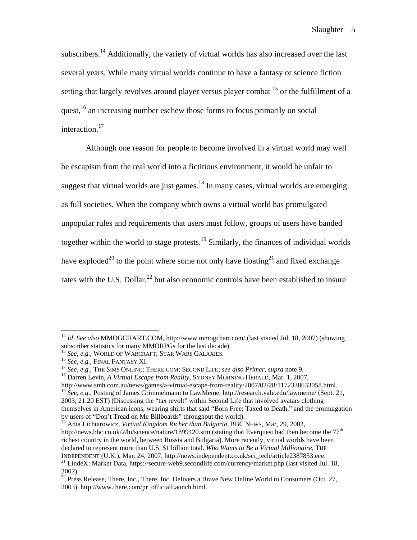subscribers.<sup>14</sup> Additionally, the variety of virtual worlds has also increased over the last several years. While many virtual worlds continue to have a fantasy or science fiction setting that largely revolves around player versus player combat <sup>15</sup> or the fulfillment of a quest,<sup>16</sup> an increasing number eschew those forms to focus primarily on social interaction.<sup>17</sup>

 Although one reason for people to become involved in a virtual world may well be escapism from the real world into a fictitious environment, it would be unfair to suggest that virtual worlds are just games.<sup>18</sup> In many cases, virtual worlds are emerging as full societies. When the company which owns a virtual world has promulgated unpopular rules and requirements that users must follow, groups of users have banded together within the world to stage protests.<sup>19</sup> Similarly, the finances of individual worlds have exploded<sup>20</sup> to the point where some not only have floating<sup>21</sup> and fixed exchange rates with the U.S. Dollar, $^{22}$  but also economic controls have been established to insure

<sup>&</sup>lt;sup>14</sup> *Id. See also* MMOGCHART.COM, http://www.mmogchart.com/ (last visited Jul. 18, 2007) (showing subscriber statistics for many MMORPGs for the last decade).<br><sup>15</sup> See, e.g., WORLD OF WARCRAFT; STAR WARS GALAXIES.

<sup>&</sup>lt;sup>16</sup> See, e.g., FINAL FANTASY XI.<br><sup>17</sup> See, e.g., THE SIMS ONLINE; THERE.COM; SECOND LIFE; see also Primer, supra note 9.<br><sup>18</sup> Darren Levin, *A Virtual Escape from Reality*, SYDNEY MORNING HERALD, Mar. 1, 2007,

http://www.smh.com.au/news/games/a-virtual-escape-from-reality/2007/02/28/1172338633058.html. <sup>19</sup> *Se*e, *e.g.*, Posting of James Grimmelmann to LawMeme, http://research.yale.edu/lawmeme/ (Sept. 21, 2003, 21:20 EST) (Discussing the "tax revolt" within Second Life that involved avatars clothing themselves in American icons, wearing shirts that said "Born Free: Taxed to Death," and the promulgation by users of "Don't Tread on Me Billboards" throughout the world).

<sup>20</sup> Ania Lichtarowicz, *Virtual Kingdom Richer than Bulgaria*, BBC NEWS, Mar, 29, 2002, http://news.bbc.co.uk/2/hi/science/nature/1899420.stm (stating that Everquest had then become the 77<sup>th</sup> richest country in the world, between Russia and Bulgaria). More recently, virtual worlds have been declared to represent more than U.S. \$1 billion total. *Who Wants to Be a Virtual Millionaire*, THE INDEPENDENT (U.K.), Mar. 24, 2007, http://news.independent.co.uk/sci\_tech/article2387853.ece. 21 LindeX: Market Data, https://secure-web9.secondlife.com/currency/market.php (last visited Jul. 18,

<sup>2007).</sup> 

 $22$  Press Release, There, Inc., There, Inc. Delivers a Brave New Online World to Consumers (Oct. 27, 2003), http://www.there.com/pr\_officialLaunch.html.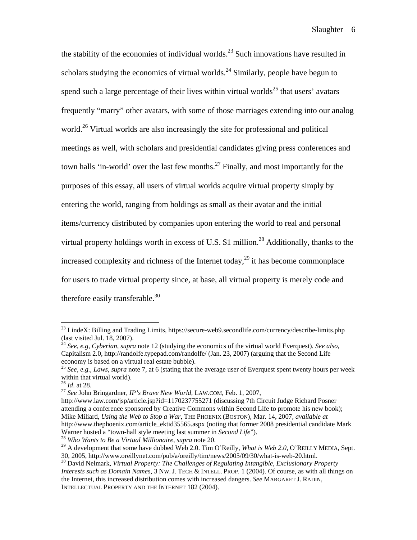the stability of the economies of individual worlds.<sup>23</sup> Such innovations have resulted in scholars studying the economics of virtual worlds.<sup>24</sup> Similarly, people have begun to spend such a large percentage of their lives within virtual worlds<sup>25</sup> that users' avatars frequently "marry" other avatars, with some of those marriages extending into our analog world.<sup>26</sup> Virtual worlds are also increasingly the site for professional and political meetings as well, with scholars and presidential candidates giving press conferences and town halls 'in-world' over the last few months.<sup>27</sup> Finally, and most importantly for the purposes of this essay, all users of virtual worlds acquire virtual property simply by entering the world, ranging from holdings as small as their avatar and the initial items/currency distributed by companies upon entering the world to real and personal virtual property holdings worth in excess of U.S.  $$1$  million.<sup>28</sup> Additionally, thanks to the increased complexity and richness of the Internet today,  $^{29}$  it has become commonplace for users to trade virtual property since, at base, all virtual property is merely code and therefore easily transferable. $^{30}$ 

 $^{23}$  LindeX: Billing and Trading Limits, https://secure-web9.secondlife.com/currency/describe-limits.php (last visited Jul. 18, 2007).

<sup>24</sup> *See, e.g*, *Cyberian*, *supra* note 12 (studying the economics of the virtual world Everquest). *See also*, Capitalism 2.0, http://randolfe.typepad.com/randolfe/ (Jan. 23, 2007) (arguing that the Second Life economy is based on a virtual real estate bubble).

<sup>25</sup> *See, e.g.*, *Laws*, *supra* note 7, at 6 (stating that the average user of Everquest spent twenty hours per week within that virtual world).<br> $^{26}$  *Id.* at 28.

<sup>&</sup>lt;sup>27</sup> See John Bringardner, *IP's Brave New World*, LAW.COM, Feb. 1, 2007,

http://www.law.com/jsp/article.jsp?id=1170237755271 (discussing 7th Circuit Judge Richard Posner attending a conference sponsored by Creative Commons within Second Life to promote his new book); Mike Miliard, *Using the Web to Stop a War*, THE PHOENIX (BOSTON), Mar. 14, 2007, *available at* http://www.thephoenix.com/article\_ektid35565.aspx (noting that former 2008 presidential candidate Mark Warner hosted a "town-hall style meeting last summer in *Second Life*"). 28 *Who Wants to Be a Virtual Millionaire*, *supra* note 20.

<sup>&</sup>lt;sup>29</sup> A development that some have dubbed Web 2.0. Tim O'Reilly, *What is Web 2.0*, O'REILLY MEDIA, Sept.

<sup>30, 2005,</sup> http://www.oreillynet.com/pub/a/oreilly/tim/news/2005/09/30/what-is-web-20.html. 30 David Nelmark, *Virtual Property: The Challenges of Regulating Intangible, Exclusionary Property Interests such as Domain Names*, 3 NW. J. TECH & INTELL. PROP. 1 (2004). Of course, as with all things on the Internet, this increased distribution comes with increased dangers. *See* MARGARET J. RADIN, INTELLECTUAL PROPERTY AND THE INTERNET 182 (2004).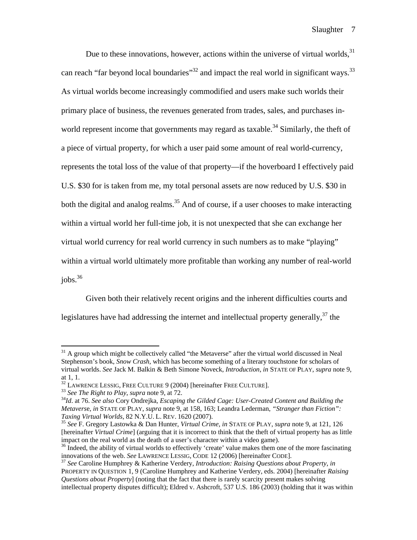Due to these innovations, however, actions within the universe of virtual worlds, $31$ can reach "far beyond local boundaries"<sup>32</sup> and impact the real world in significant ways.<sup>33</sup> As virtual worlds become increasingly commodified and users make such worlds their primary place of business, the revenues generated from trades, sales, and purchases inworld represent income that governments may regard as taxable.<sup>34</sup> Similarly, the theft of a piece of virtual property, for which a user paid some amount of real world-currency, represents the total loss of the value of that property—if the hoverboard I effectively paid U.S. \$30 for is taken from me, my total personal assets are now reduced by U.S. \$30 in both the digital and analog realms.<sup>35</sup> And of course, if a user chooses to make interacting within a virtual world her full-time job, it is not unexpected that she can exchange her virtual world currency for real world currency in such numbers as to make "playing" within a virtual world ultimately more profitable than working any number of real-world  $i$ obs.  $36$ 

 Given both their relatively recent origins and the inherent difficulties courts and legislatures have had addressing the internet and intellectual property generally,  $37$  the

 $31$  A group which might be collectively called "the Metaverse" after the virtual world discussed in Neal Stephenson's book, *Snow Crash*, which has become something of a literary touchstone for scholars of virtual worlds. *See* Jack M. Balkin & Beth Simone Noveck, *Introduction*, *in* STATE OF PLAY, *supra* note 9, at 1, 1.<br><sup>32</sup> LAWRENCE LESSIG, FREE CULTURE 9 (2004) [hereinafter FREE CULTURE].

 $^{33}$  See The Right to Play, supra note 9, at 72.<br> $^{34}$ Id. at 76. See also Cory Ondrejka, *Escaping the Gilded Cage: User-Created Content and Building the Metavers*e, *in* STATE OF PLAY, *supra* note 9, at 158, 163; Leandra Lederman, *"Stranger than Fiction": Taxing Virtual Worlds*, 82 N.Y.U. L. REV. 1620 (2007). 35 *See* F. Gregory Lastowka & Dan Hunter, *Virtual Crime*, *in* STATE OF PLAY, *supra* note 9, at 121, 126

<sup>[</sup>hereinafter *Virtual Crime*] (arguing that it is incorrect to think that the theft of virtual property has as little impact on the real world as the death of a user's character within a video game).<br><sup>36</sup> Indeed, the ability of virtual worlds to effectively 'create' value makes them one of the more fascinating

innovations of the web. *See* LAWRENCE LESSIG, CODE 12 (2006) [hereinafter CODE]. 37 *See* Caroline Humphrey & Katherine Verdery, *Introduction: Raising Questions about Property*, *in*

PROPERTY IN QUESTION 1, 9 (Caroline Humphrey and Katherine Verdery, eds. 2004) [hereinafter *Raising Questions about Property*] (noting that the fact that there is rarely scarcity present makes solving intellectual property disputes difficult); Eldred v. Ashcroft, 537 U.S. 186 (2003) (holding that it was within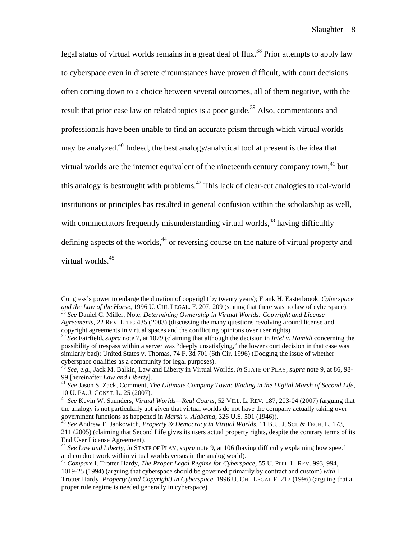legal status of virtual worlds remains in a great deal of flux.<sup>38</sup> Prior attempts to apply law to cyberspace even in discrete circumstances have proven difficult, with court decisions often coming down to a choice between several outcomes, all of them negative, with the result that prior case law on related topics is a poor guide.<sup>39</sup> Also, commentators and professionals have been unable to find an accurate prism through which virtual worlds may be analyzed.40 Indeed, the best analogy/analytical tool at present is the idea that virtual worlds are the internet equivalent of the nineteenth century company town,<sup>41</sup> but this analogy is bestrought with problems.<sup>42</sup> This lack of clear-cut analogies to real-world institutions or principles has resulted in general confusion within the scholarship as well, with commentators frequently misunderstanding virtual worlds,  $43$  having difficultly defining aspects of the worlds,<sup>44</sup> or reversing course on the nature of virtual property and virtual worlds.<sup>45</sup>

Congress's power to enlarge the duration of copyright by twenty years); Frank H. Easterbrook, *Cyberspace and the Law of the Horse*, 1996 U. CHI. LEGAL. F. 207, 209 (stating that there was no law of cyberspace). 38 *See* Daniel C. Miller, Note, *Determining Ownership in Virtual Worlds: Copyright and License* 

*Agreements*, 22 REV. LITIG 435 (2003) (discussing the many questions revolving around license and copyright agreements in virtual spaces and the conflicting opinions over user rights)

<sup>39</sup> *See* Fairfield, *supra* note 7, at 1079 (claiming that although the decision in *Intel v. Hamidi* concerning the possibility of trespass within a server was "deeply unsatisfying," the lower court decision in that case was similarly bad); United States v. Thomas, 74 F. 3d 701 (6th Cir. 1996) (Dodging the issue of whether cyberspace qualifies as a community for legal purposes).

<sup>40</sup> *See*, *e.g.*, Jack M. Balkin, Law and Liberty in Virtual Worlds, *in* STATE OF PLAY, *supra* note 9, at 86, 98-

<sup>99 [</sup>hereinafter *Law and Liberty*].<br><sup>41</sup> *See* Jason S. Zack, Comment, *The Ultimate Company Town: Wading in the Digital Marsh of Second Life*, 10 U. PA. J. CONST. L. 25 (2007).

<sup>&</sup>lt;sup>42</sup> See Kevin W. Saunders, *Virtual Worlds—Real Courts*, 52 VILL. L. REV. 187, 203-04 (2007) (arguing that the analogy is not particularly apt given that virtual worlds do not have the company actually taking over government functions as happened in *Marsh v. Alabama*, 326 U.S. 501 (1946)).<br><sup>43</sup> *See* Andrew E. Jankowich, *Property & Democracy in Virtual Worlds*, 11 B.U. J. SCI. & TECH. L. 173,

<sup>211 (2005) (</sup>claiming that Second Life gives its users actual property rights, despite the contrary terms of its End User License Agreement).

<sup>44</sup> *See Law and Liberty*, *in* STATE OF PLAY, *supra* note 9, at 106 (having difficulty explaining how speech and conduct work within virtual worlds versus in the analog world).

<sup>45</sup> *Compare* I. Trotter Hardy, *The Proper Legal Regime for Cyberspace*, 55 U. PITT. L. REV. 993, 994, 1019-25 (1994) (arguing that cyberspace should be governed primarily by contract and custom) *with* I.

Trotter Hardy, *Property (and Copyright) in Cyberspace*, 1996 U. CHI. LEGAL F. 217 (1996) (arguing that a proper rule regime is needed generally in cyberspace).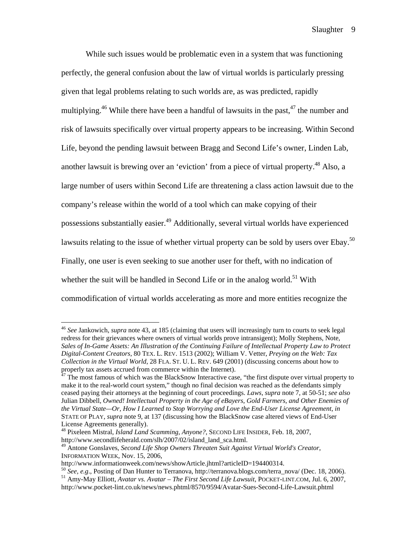While such issues would be problematic even in a system that was functioning perfectly, the general confusion about the law of virtual worlds is particularly pressing given that legal problems relating to such worlds are, as was predicted, rapidly multiplying.<sup>46</sup> While there have been a handful of lawsuits in the past, $47$  the number and risk of lawsuits specifically over virtual property appears to be increasing. Within Second Life, beyond the pending lawsuit between Bragg and Second Life's owner, Linden Lab, another lawsuit is brewing over an 'eviction' from a piece of virtual property.<sup>48</sup> Also, a large number of users within Second Life are threatening a class action lawsuit due to the company's release within the world of a tool which can make copying of their possessions substantially easier.<sup>49</sup> Additionally, several virtual worlds have experienced lawsuits relating to the issue of whether virtual property can be sold by users over Ebay.<sup>50</sup> Finally, one user is even seeking to sue another user for theft, with no indication of whether the suit will be handled in Second Life or in the analog world.<sup>51</sup> With commodification of virtual worlds accelerating as more and more entities recognize the

<sup>46</sup> *See* Jankowich, *supra* note 43, at 185 (claiming that users will increasingly turn to courts to seek legal redress for their grievances where owners of virtual worlds prove intransigent); Molly Stephens, Note, *Sales of In-Game Assets: An Illustration of the Continuing Failure of Intellectual Property Law to Protect Digital-Content Creators*, 80 TEX. L. REV. 1513 (2002); William V. Vetter, *Preying on the Web: Tax Collection in the Virtual World*, 28 FLA. ST. U. L. REV. 649 (2001) (discussing concerns about how to properly tax assets accrued from commerce within the Internet).<br><sup>47</sup> The most famous of which was the BlackSnow Interactive case, "the first dispute over virtual property to

make it to the real-world court system," though no final decision was reached as the defendants simply ceased paying their attorneys at the beginning of court proceedings. *Laws*, *supra* note 7, at 50-51; *see also* Julian Dibbell, *Owned! Intellectual Property in the Age of eBayers, Gold Farmers, and Other Enemies of the Virtual State—Or, How I Learned to Stop Worrying and Love the End-User License Agreement*, *in* STATE OF PLAY, *supra* note 9, at 137 (discussing how the BlackSnow case altered views of End-User License Agreements generally).

<sup>48</sup> Pixeleen Mistral, *Island Land Scamming, Anyone?*, SECOND LIFE INSIDER, Feb. 18, 2007, http://www.secondlifeherald.com/slh/2007/02/island\_land\_sca.html.

<sup>49</sup> Antone Gonslaves, *Second Life Shop Owners Threaten Suit Against Virtual World's Creator*, INFORMATION WEEK, Nov. 15, 2006,

http://www.informationweek.com/news/showArticle.jhtml?articleID=194400314.<br><sup>50</sup> See, e.g., Posting of Dan Hunter to Terranova, http://terranova.blogs.com/terra\_nova/ (Dec. 18, 2006).<br><sup>51</sup> Amy-May Elliott, Avatar vs. Avatar

http://www.pocket-lint.co.uk/news/news.phtml/8570/9594/Avatar-Sues-Second-Life-Lawsuit.phtml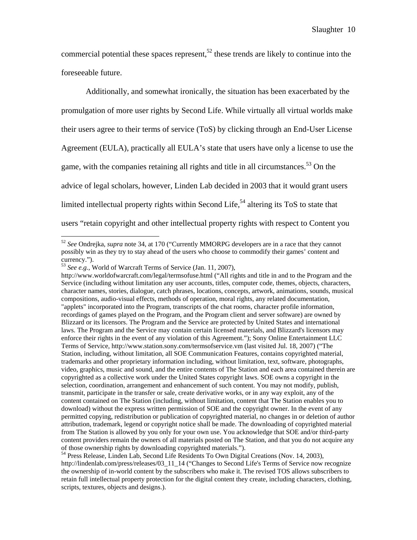commercial potential these spaces represent,<sup>52</sup> these trends are likely to continue into the foreseeable future.

 Additionally, and somewhat ironically, the situation has been exacerbated by the promulgation of more user rights by Second Life. While virtually all virtual worlds make their users agree to their terms of service (ToS) by clicking through an End-User License Agreement (EULA), practically all EULA's state that users have only a license to use the game, with the companies retaining all rights and title in all circumstances.<sup>53</sup> On the advice of legal scholars, however, Linden Lab decided in 2003 that it would grant users limited intellectual property rights within Second Life,<sup>54</sup> altering its ToS to state that users "retain copyright and other intellectual property rights with respect to Content you

1

<sup>52</sup> *See* Ondrejka, *supra* note 34, at 170 ("Currently MMORPG developers are in a race that they cannot possibly win as they try to stay ahead of the users who choose to commodify their games' content and currency.").

<sup>53</sup> *See e.g.*, World of Warcraft Terms of Service (Jan. 11, 2007),

http://www.worldofwarcraft.com/legal/termsofuse.html ("All rights and title in and to the Program and the Service (including without limitation any user accounts, titles, computer code, themes, objects, characters, character names, stories, dialogue, catch phrases, locations, concepts, artwork, animations, sounds, musical compositions, audio-visual effects, methods of operation, moral rights, any related documentation, "applets" incorporated into the Program, transcripts of the chat rooms, character profile information, recordings of games played on the Program, and the Program client and server software) are owned by Blizzard or its licensors. The Program and the Service are protected by United States and international laws. The Program and the Service may contain certain licensed materials, and Blizzard's licensors may enforce their rights in the event of any violation of this Agreement."); Sony Online Entertainment LLC Terms of Service, http://www.station.sony.com/termsofservice.vm (last visited Jul. 18, 2007) ("The Station, including, without limitation, all SOE Communication Features, contains copyrighted material, trademarks and other proprietary information including, without limitation, text, software, photographs, video, graphics, music and sound, and the entire contents of The Station and each area contained therein are copyrighted as a collective work under the United States copyright laws. SOE owns a copyright in the selection, coordination, arrangement and enhancement of such content. You may not modify, publish, transmit, participate in the transfer or sale, create derivative works, or in any way exploit, any of the content contained on The Station (including, without limitation, content that The Station enables you to download) without the express written permission of SOE and the copyright owner. In the event of any permitted copying, redistribution or publication of copyrighted material, no changes in or deletion of author attribution, trademark, legend or copyright notice shall be made. The downloading of copyrighted material from The Station is allowed by you only for your own use. You acknowledge that SOE and/or third-party content providers remain the owners of all materials posted on The Station, and that you do not acquire any of those ownership rights by downloading copyrighted materials.").

<sup>54</sup> Press Release, Linden Lab, Second Life Residents To Own Digital Creations (Nov. 14, 2003), http://lindenlab.com/press/releases/03\_11\_14 ("Changes to Second Life's Terms of Service now recognize the ownership of in-world content by the subscribers who make it. The revised TOS allows subscribers to retain full intellectual property protection for the digital content they create, including characters, clothing, scripts, textures, objects and designs.).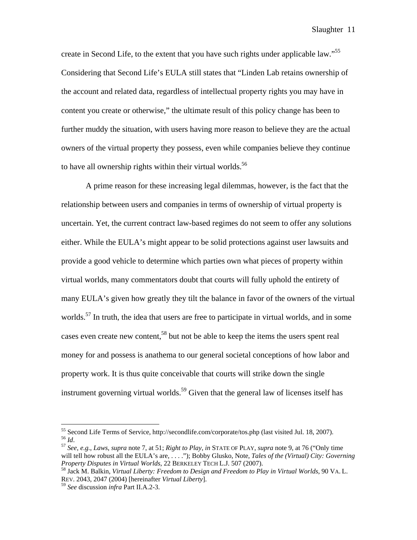create in Second Life, to the extent that you have such rights under applicable law."55 Considering that Second Life's EULA still states that "Linden Lab retains ownership of the account and related data, regardless of intellectual property rights you may have in content you create or otherwise," the ultimate result of this policy change has been to further muddy the situation, with users having more reason to believe they are the actual owners of the virtual property they possess, even while companies believe they continue to have all ownership rights within their virtual worlds.<sup>56</sup>

A prime reason for these increasing legal dilemmas, however, is the fact that the relationship between users and companies in terms of ownership of virtual property is uncertain. Yet, the current contract law-based regimes do not seem to offer any solutions either. While the EULA's might appear to be solid protections against user lawsuits and provide a good vehicle to determine which parties own what pieces of property within virtual worlds, many commentators doubt that courts will fully uphold the entirety of many EULA's given how greatly they tilt the balance in favor of the owners of the virtual worlds.<sup>57</sup> In truth, the idea that users are free to participate in virtual worlds, and in some cases even create new content,<sup>58</sup> but not be able to keep the items the users spent real money for and possess is anathema to our general societal conceptions of how labor and property work. It is thus quite conceivable that courts will strike down the single instrument governing virtual worlds.<sup>59</sup> Given that the general law of licenses itself has

<sup>&</sup>lt;sup>55</sup> Second Life Terms of Service, http://secondlife.com/corporate/tos.php (last visited Jul. 18, 2007). <sup>56</sup> Id.<br><sup>57</sup> See, e.g., Laws, supra note 7, at 51; Right to Play, in STATE OF PLAY, supra note 9, at 76 ("Only time")

will tell how robust all the EULA's are, . . . ."); Bobby Glusko, Note, *Tales of the (Virtual) City: Governing Property Disputes in Virtual Worlds*, 22 BERKELEY TECH L.J. 507 (2007).<br><sup>58</sup> Jack M. Balkin, *Virtual Liberty: Freedom to Design and Freedom to Play in Virtual Worlds*, 90 VA. L.

REV. 2043, 2047 (2004) [hereinafter *Virtual Liberty*].

<sup>59</sup> *See* discussion *infra* Part II.A.2-3.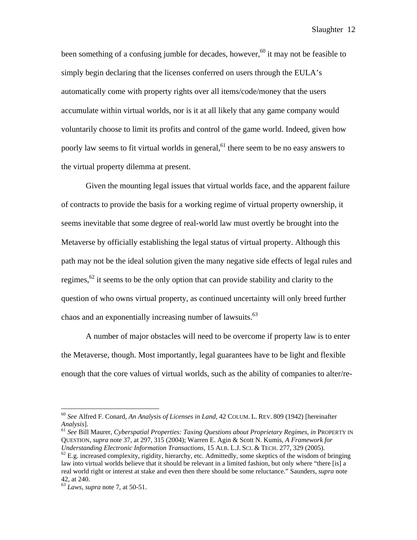been something of a confusing jumble for decades, however,<sup>60</sup> it may not be feasible to simply begin declaring that the licenses conferred on users through the EULA's automatically come with property rights over all items/code/money that the users accumulate within virtual worlds, nor is it at all likely that any game company would voluntarily choose to limit its profits and control of the game world. Indeed, given how poorly law seems to fit virtual worlds in general,<sup>61</sup> there seem to be no easy answers to the virtual property dilemma at present.

 Given the mounting legal issues that virtual worlds face, and the apparent failure of contracts to provide the basis for a working regime of virtual property ownership, it seems inevitable that some degree of real-world law must overtly be brought into the Metaverse by officially establishing the legal status of virtual property. Although this path may not be the ideal solution given the many negative side effects of legal rules and regimes,  $62$  it seems to be the only option that can provide stability and clarity to the question of who owns virtual property, as continued uncertainty will only breed further chaos and an exponentially increasing number of lawsuits.<sup>63</sup>

A number of major obstacles will need to be overcome if property law is to enter the Metaverse, though. Most importantly, legal guarantees have to be light and flexible enough that the core values of virtual worlds, such as the ability of companies to alter/re-

<sup>60</sup> *See* Alfred F. Conard, *An Analysis of Licenses in Land*, 42 COLUM. L. REV. 809 (1942) [hereinafter *Analysis*]. 61 *See* Bill Maurer, *Cyberspatial Properties: Taxing Questions about Proprietary Regimes*, *in* PROPERTY IN

QUESTION, *supra* note 37, at 297, 315 (2004); Warren E. Agin & Scott N. Kumis, *A Framework for* 

*Understanding Electronic Information Transactions*, 15 ALB. L.J. SCI. & TECH. 277, 329 (2005).<br><sup>62</sup> E.g. increased complexity, rigidity, hierarchy, etc. Admittedly, some skeptics of the wisdom of bringing law into virtual worlds believe that it should be relevant in a limited fashion, but only where "there [is] a real world right or interest at stake and even then there should be some reluctance." Saunders, *supra* note 42, at 240.

<sup>63</sup> *Laws*, *supra* note 7, at 50-51.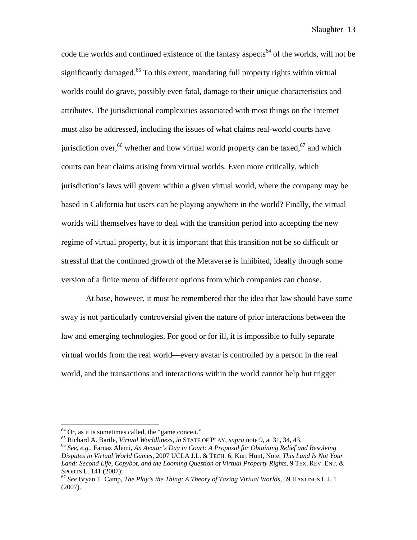code the worlds and continued existence of the fantasy aspects<sup>64</sup> of the worlds, will not be significantly damaged.<sup>65</sup> To this extent, mandating full property rights within virtual worlds could do grave, possibly even fatal, damage to their unique characteristics and attributes. The jurisdictional complexities associated with most things on the internet must also be addressed, including the issues of what claims real-world courts have jurisdiction over,  $66$  whether and how virtual world property can be taxed,  $67$  and which courts can hear claims arising from virtual worlds. Even more critically, which jurisdiction's laws will govern within a given virtual world, where the company may be based in California but users can be playing anywhere in the world? Finally, the virtual worlds will themselves have to deal with the transition period into accepting the new regime of virtual property, but it is important that this transition not be so difficult or stressful that the continued growth of the Metaverse is inhibited, ideally through some version of a finite menu of different options from which companies can choose.

 At base, however, it must be remembered that the idea that law should have some sway is not particularly controversial given the nature of prior interactions between the law and emerging technologies. For good or for ill, it is impossible to fully separate virtual worlds from the real world—every avatar is controlled by a person in the real world, and the transactions and interactions within the world cannot help but trigger

 $^{64}$  Or, as it is sometimes called, the "game conceit."<br> $^{65}$  Richard A. Bartle, *Virtual Worldliness*, *in* STATE OF PLAY, *supra* note 9, at 31, 34, 43.

<sup>&</sup>lt;sup>66</sup> See, e.g., Farnaz Alemi, An Avatar's Day in Court: A Proposal for Obtaining Relief and Resolving *Disputes in Virtual World Games*, 2007 UCLA J.L. & TECH. 6; Kurt Hunt, Note, *This Land Is Not Your Land: Second Life, Copybot, and the Looming Question of Virtual Property Rights*, 9 TEX. REV. ENT. & SPORTS L. 141 (2007);<br><sup>67</sup> *See* Bryan T. Camp, *The Play's the Thing: A Theory of Taxing Virtual Worlds*, 59 HASTINGS L.J. 1

<sup>(2007).</sup>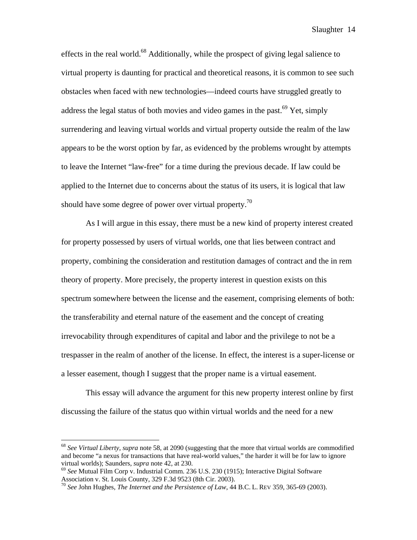effects in the real world.<sup>68</sup> Additionally, while the prospect of giving legal salience to virtual property is daunting for practical and theoretical reasons, it is common to see such obstacles when faced with new technologies—indeed courts have struggled greatly to address the legal status of both movies and video games in the past.<sup>69</sup> Yet, simply surrendering and leaving virtual worlds and virtual property outside the realm of the law appears to be the worst option by far, as evidenced by the problems wrought by attempts to leave the Internet "law-free" for a time during the previous decade. If law could be applied to the Internet due to concerns about the status of its users, it is logical that law should have some degree of power over virtual property.<sup>70</sup>

As I will argue in this essay, there must be a new kind of property interest created for property possessed by users of virtual worlds, one that lies between contract and property, combining the consideration and restitution damages of contract and the in rem theory of property. More precisely, the property interest in question exists on this spectrum somewhere between the license and the easement, comprising elements of both: the transferability and eternal nature of the easement and the concept of creating irrevocability through expenditures of capital and labor and the privilege to not be a trespasser in the realm of another of the license. In effect, the interest is a super-license or a lesser easement, though I suggest that the proper name is a virtual easement.

This essay will advance the argument for this new property interest online by first discussing the failure of the status quo within virtual worlds and the need for a new

<sup>68</sup> *See Virtual Liberty*, *supra* note 58, at 2090 (suggesting that the more that virtual worlds are commodified and become "a nexus for transactions that have real-world values," the harder it will be for law to ignore virtual worlds); Saunders, *supra* note 42, at 230.<br><sup>69</sup> *See* Mutual Film Corp v. Industrial Comm. 236 U.S. 230 (1915); Interactive Digital Software

Association v. St. Louis County, 329 F.3d 9523 (8th Cir. 2003).

<sup>70</sup> *See* John Hughes, *The Internet and the Persistence of Law*, 44 B.C. L. REV 359, 365-69 (2003).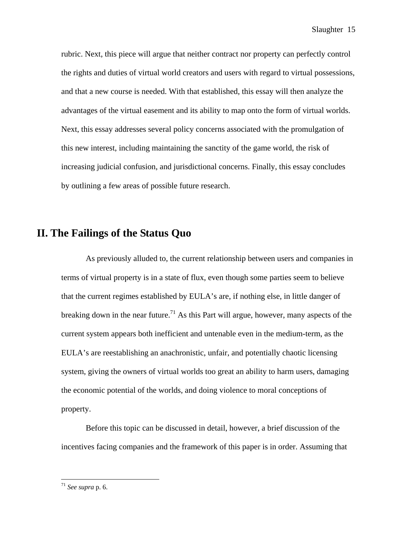rubric. Next, this piece will argue that neither contract nor property can perfectly control the rights and duties of virtual world creators and users with regard to virtual possessions, and that a new course is needed. With that established, this essay will then analyze the advantages of the virtual easement and its ability to map onto the form of virtual worlds. Next, this essay addresses several policy concerns associated with the promulgation of this new interest, including maintaining the sanctity of the game world, the risk of increasing judicial confusion, and jurisdictional concerns. Finally, this essay concludes by outlining a few areas of possible future research.

### **II. The Failings of the Status Quo**

 As previously alluded to, the current relationship between users and companies in terms of virtual property is in a state of flux, even though some parties seem to believe that the current regimes established by EULA's are, if nothing else, in little danger of breaking down in the near future.<sup>71</sup> As this Part will argue, however, many aspects of the current system appears both inefficient and untenable even in the medium-term, as the EULA's are reestablishing an anachronistic, unfair, and potentially chaotic licensing system, giving the owners of virtual worlds too great an ability to harm users, damaging the economic potential of the worlds, and doing violence to moral conceptions of property.

 Before this topic can be discussed in detail, however, a brief discussion of the incentives facing companies and the framework of this paper is in order. Assuming that

<sup>71</sup> *See supra* p. 6.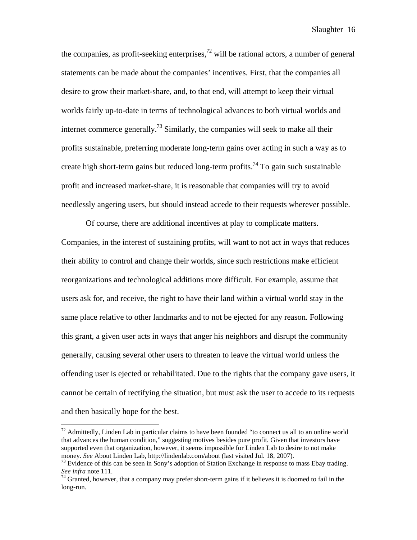the companies, as profit-seeking enterprises,<sup>72</sup> will be rational actors, a number of general statements can be made about the companies' incentives. First, that the companies all desire to grow their market-share, and, to that end, will attempt to keep their virtual worlds fairly up-to-date in terms of technological advances to both virtual worlds and internet commerce generally.<sup>73</sup> Similarly, the companies will seek to make all their profits sustainable, preferring moderate long-term gains over acting in such a way as to create high short-term gains but reduced long-term profits.<sup>74</sup> To gain such sustainable profit and increased market-share, it is reasonable that companies will try to avoid needlessly angering users, but should instead accede to their requests wherever possible.

 Of course, there are additional incentives at play to complicate matters. Companies, in the interest of sustaining profits, will want to not act in ways that reduces their ability to control and change their worlds, since such restrictions make efficient reorganizations and technological additions more difficult. For example, assume that users ask for, and receive, the right to have their land within a virtual world stay in the same place relative to other landmarks and to not be ejected for any reason. Following this grant, a given user acts in ways that anger his neighbors and disrupt the community generally, causing several other users to threaten to leave the virtual world unless the offending user is ejected or rehabilitated. Due to the rights that the company gave users, it cannot be certain of rectifying the situation, but must ask the user to accede to its requests and then basically hope for the best.

 $72$  Admittedly, Linden Lab in particular claims to have been founded "to connect us all to an online world that advances the human condition," suggesting motives besides pure profit. Given that investors have supported even that organization, however, it seems impossible for Linden Lab to desire to not make

money. *See* About Linden Lab, http://lindenlab.com/about (last visited Jul. 18, 2007).<br><sup>73</sup> Evidence of this can be seen in Sony's adoption of Station Exchange in response to mass Ebay trading.<br>*See infra* note 111.

<sup>&</sup>lt;sup>74</sup> Granted, however, that a company may prefer short-term gains if it believes it is doomed to fail in the long-run.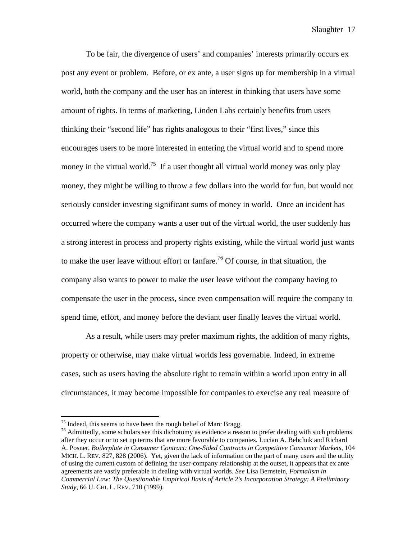To be fair, the divergence of users' and companies' interests primarily occurs ex post any event or problem. Before, or ex ante, a user signs up for membership in a virtual world, both the company and the user has an interest in thinking that users have some amount of rights. In terms of marketing, Linden Labs certainly benefits from users thinking their "second life" has rights analogous to their "first lives," since this encourages users to be more interested in entering the virtual world and to spend more money in the virtual world.<sup>75</sup> If a user thought all virtual world money was only play money, they might be willing to throw a few dollars into the world for fun, but would not seriously consider investing significant sums of money in world. Once an incident has occurred where the company wants a user out of the virtual world, the user suddenly has a strong interest in process and property rights existing, while the virtual world just wants to make the user leave without effort or fanfare.<sup>76</sup> Of course, in that situation, the company also wants to power to make the user leave without the company having to compensate the user in the process, since even compensation will require the company to spend time, effort, and money before the deviant user finally leaves the virtual world.

As a result, while users may prefer maximum rights, the addition of many rights, property or otherwise, may make virtual worlds less governable. Indeed, in extreme cases, such as users having the absolute right to remain within a world upon entry in all circumstances, it may become impossible for companies to exercise any real measure of

 $75$  Indeed, this seems to have been the rough belief of Marc Bragg.

<sup>&</sup>lt;sup>76</sup> Admittedly, some scholars see this dichotomy as evidence a reason to prefer dealing with such problems after they occur or to set up terms that are more favorable to companies. Lucian A. Bebchuk and Richard A. Posner, *Boilerplate in Consumer Contract: One-Sided Contracts in Competitive Consumer Markets*, 104 MICH. L. REV. 827, 828 (2006). Yet, given the lack of information on the part of many users and the utility of using the current custom of defining the user-company relationship at the outset, it appears that ex ante agreements are vastly preferable in dealing with virtual worlds. *See* Lisa Bernstein, *Formalism in Commercial Law: The Questionable Empirical Basis of Article 2's Incorporation Strategy: A Preliminary Study*, 66 U. CHI. L. REV. 710 (1999).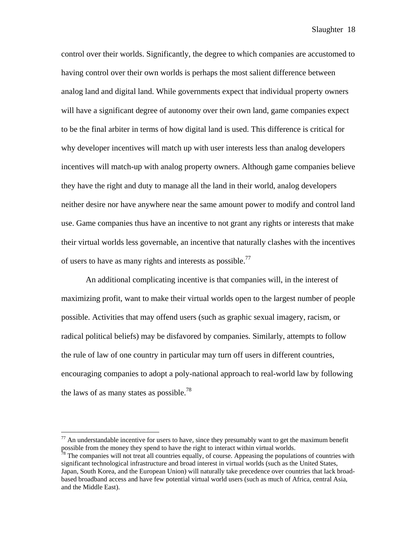control over their worlds. Significantly, the degree to which companies are accustomed to having control over their own worlds is perhaps the most salient difference between analog land and digital land. While governments expect that individual property owners will have a significant degree of autonomy over their own land, game companies expect to be the final arbiter in terms of how digital land is used. This difference is critical for why developer incentives will match up with user interests less than analog developers incentives will match-up with analog property owners. Although game companies believe they have the right and duty to manage all the land in their world, analog developers neither desire nor have anywhere near the same amount power to modify and control land use. Game companies thus have an incentive to not grant any rights or interests that make their virtual worlds less governable, an incentive that naturally clashes with the incentives of users to have as many rights and interests as possible.<sup>77</sup>

An additional complicating incentive is that companies will, in the interest of maximizing profit, want to make their virtual worlds open to the largest number of people possible. Activities that may offend users (such as graphic sexual imagery, racism, or radical political beliefs) may be disfavored by companies. Similarly, attempts to follow the rule of law of one country in particular may turn off users in different countries, encouraging companies to adopt a poly-national approach to real-world law by following the laws of as many states as possible.<sup>78</sup>

 $77$  An understandable incentive for users to have, since they presumably want to get the maximum benefit possible from the money they spend to have the right to interact within virtual worlds.

 $78$  The companies will not treat all countries equally, of course. Appeasing the populations of countries with significant technological infrastructure and broad interest in virtual worlds (such as the United States, Japan, South Korea, and the European Union) will naturally take precedence over countries that lack broadbased broadband access and have few potential virtual world users (such as much of Africa, central Asia, and the Middle East).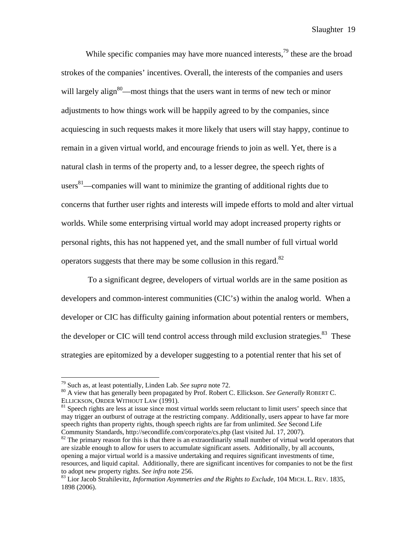While specific companies may have more nuanced interests,  $79$  these are the broad strokes of the companies' incentives. Overall, the interests of the companies and users will largely align<sup>80</sup>—most things that the users want in terms of new tech or minor adjustments to how things work will be happily agreed to by the companies, since acquiescing in such requests makes it more likely that users will stay happy, continue to remain in a given virtual world, and encourage friends to join as well. Yet, there is a natural clash in terms of the property and, to a lesser degree, the speech rights of users<sup>81</sup>—companies will want to minimize the granting of additional rights due to concerns that further user rights and interests will impede efforts to mold and alter virtual worlds. While some enterprising virtual world may adopt increased property rights or personal rights, this has not happened yet, and the small number of full virtual world operators suggests that there may be some collusion in this regard.<sup>82</sup>

 To a significant degree, developers of virtual worlds are in the same position as developers and common-interest communities (CIC's) within the analog world. When a developer or CIC has difficulty gaining information about potential renters or members, the developer or CIC will tend control access through mild exclusion strategies.<sup>83</sup> These strategies are epitomized by a developer suggesting to a potential renter that his set of

 $79$  Such as, at least potentially, Linden Lab. See supra note 72.

<sup>&</sup>lt;sup>80</sup> A view that has generally been propagated by Prof. Robert C. Ellickson. *See Generally* ROBERT C. ELLICKSON, ORDER WITHOUT LAW (1991).<br><sup>81</sup> Speech rights are less at issue since most virtual worlds seem reluctant to limit users' speech since that

may trigger an outburst of outrage at the restricting company. Additionally, users appear to have far more speech rights than property rights, though speech rights are far from unlimited. *See* Second Life Community Standards, http://secondlife.com/corporate/cs.php (last visited Jul. 17, 2007).<br><sup>82</sup> The primary reason for this is that there is an extraordinarily small number of virtual world operators that

are sizable enough to allow for users to accumulate significant assets. Additionally, by all accounts, opening a major virtual world is a massive undertaking and requires significant investments of time, resources, and liquid capital. Additionally, there are significant incentives for companies to not be the first to adopt new property rights. *See infra* note 256.<br><sup>83</sup> Lior Jacob Strahilevitz, *Information Asymmetries and the Rights to Exclude*, 104 MICH. L. REV. 1835,

<sup>1898 (2006).</sup>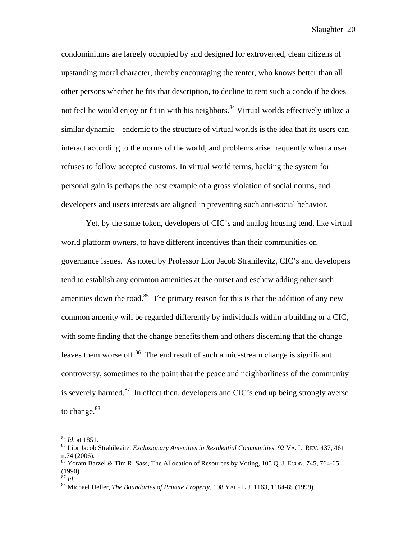condominiums are largely occupied by and designed for extroverted, clean citizens of upstanding moral character, thereby encouraging the renter, who knows better than all other persons whether he fits that description, to decline to rent such a condo if he does not feel he would enjoy or fit in with his neighbors.<sup>84</sup> Virtual worlds effectively utilize a similar dynamic—endemic to the structure of virtual worlds is the idea that its users can interact according to the norms of the world, and problems arise frequently when a user refuses to follow accepted customs. In virtual world terms, hacking the system for personal gain is perhaps the best example of a gross violation of social norms, and developers and users interests are aligned in preventing such anti-social behavior.

Yet, by the same token, developers of CIC's and analog housing tend, like virtual world platform owners, to have different incentives than their communities on governance issues. As noted by Professor Lior Jacob Strahilevitz, CIC's and developers tend to establish any common amenities at the outset and eschew adding other such amenities down the road.<sup>85</sup> The primary reason for this is that the addition of any new common amenity will be regarded differently by individuals within a building or a CIC, with some finding that the change benefits them and others discerning that the change leaves them worse off.<sup>86</sup> The end result of such a mid-stream change is significant controversy, sometimes to the point that the peace and neighborliness of the community is severely harmed. $87$  In effect then, developers and CIC's end up being strongly averse to change.<sup>88</sup>

 $^{84}$  *Id.* at 1851.

<sup>&</sup>lt;sup>85</sup> Lior Jacob Strahilevitz, *Exclusionary Amenities in Residential Communities*, 92 VA. L. REV. 437, 461 n.74 (2006).

 $86$  Yoram Barzel & Tim R. Sass, The Allocation of Resources by Voting, 105 Q. J. ECON. 745, 764-65  $^{(1990)}_{87}$  *Id.* 

<sup>87</sup> *Id.* 88 Michael Heller, *The Boundaries of Private Property*, 108 YALE L.J. 1163, 1184-85 (1999)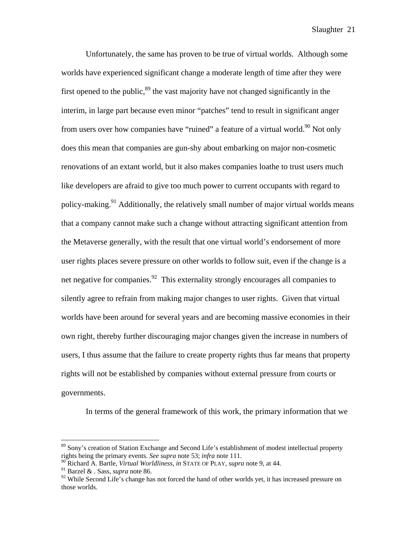Unfortunately, the same has proven to be true of virtual worlds. Although some worlds have experienced significant change a moderate length of time after they were first opened to the public,  $89$  the vast majority have not changed significantly in the interim, in large part because even minor "patches" tend to result in significant anger from users over how companies have "ruined" a feature of a virtual world.<sup>90</sup> Not only does this mean that companies are gun-shy about embarking on major non-cosmetic renovations of an extant world, but it also makes companies loathe to trust users much like developers are afraid to give too much power to current occupants with regard to policy-making.<sup>91</sup> Additionally, the relatively small number of major virtual worlds means that a company cannot make such a change without attracting significant attention from the Metaverse generally, with the result that one virtual world's endorsement of more user rights places severe pressure on other worlds to follow suit, even if the change is a net negative for companies.  $92$  This externality strongly encourages all companies to silently agree to refrain from making major changes to user rights. Given that virtual worlds have been around for several years and are becoming massive economies in their own right, thereby further discouraging major changes given the increase in numbers of users, I thus assume that the failure to create property rights thus far means that property rights will not be established by companies without external pressure from courts or governments.

In terms of the general framework of this work, the primary information that we

<sup>&</sup>lt;sup>89</sup> Sony's creation of Station Exchange and Second Life's establishment of modest intellectual property rights being the primary events. *See supra* note 53; *infra* note 111.

<sup>90</sup> Richard A. Bartle, *Virtual Worldliness*, *in* STATE OF PLAY, *supra* note 9, at 44.

<sup>91</sup> Barzel & . Sass, *supra* note 86.

 $92$  While Second Life's change has not forced the hand of other worlds yet, it has increased pressure on those worlds.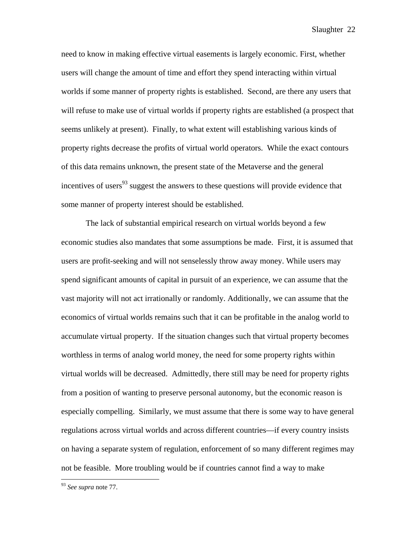need to know in making effective virtual easements is largely economic. First, whether users will change the amount of time and effort they spend interacting within virtual worlds if some manner of property rights is established. Second, are there any users that will refuse to make use of virtual worlds if property rights are established (a prospect that seems unlikely at present). Finally, to what extent will establishing various kinds of property rights decrease the profits of virtual world operators. While the exact contours of this data remains unknown, the present state of the Metaverse and the general incentives of users<sup>93</sup> suggest the answers to these questions will provide evidence that some manner of property interest should be established.

The lack of substantial empirical research on virtual worlds beyond a few economic studies also mandates that some assumptions be made. First, it is assumed that users are profit-seeking and will not senselessly throw away money. While users may spend significant amounts of capital in pursuit of an experience, we can assume that the vast majority will not act irrationally or randomly. Additionally, we can assume that the economics of virtual worlds remains such that it can be profitable in the analog world to accumulate virtual property. If the situation changes such that virtual property becomes worthless in terms of analog world money, the need for some property rights within virtual worlds will be decreased. Admittedly, there still may be need for property rights from a position of wanting to preserve personal autonomy, but the economic reason is especially compelling. Similarly, we must assume that there is some way to have general regulations across virtual worlds and across different countries—if every country insists on having a separate system of regulation, enforcement of so many different regimes may not be feasible. More troubling would be if countries cannot find a way to make

<sup>93</sup> *See supra* note 77.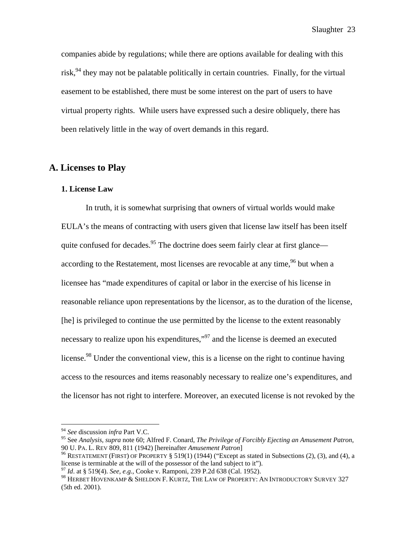companies abide by regulations; while there are options available for dealing with this risk,  $94$  they may not be palatable politically in certain countries. Finally, for the virtual easement to be established, there must be some interest on the part of users to have virtual property rights. While users have expressed such a desire obliquely, there has been relatively little in the way of overt demands in this regard.

#### **A. Licenses to Play**

#### **1. License Law**

In truth, it is somewhat surprising that owners of virtual worlds would make EULA's the means of contracting with users given that license law itself has been itself quite confused for decades.<sup>95</sup> The doctrine does seem fairly clear at first glance according to the Restatement, most licenses are revocable at any time,  $^{96}$  but when a licensee has "made expenditures of capital or labor in the exercise of his license in reasonable reliance upon representations by the licensor, as to the duration of the license, [he] is privileged to continue the use permitted by the license to the extent reasonably necessary to realize upon his expenditures,"<sup>97</sup> and the license is deemed an executed license.<sup>98</sup> Under the conventional view, this is a license on the right to continue having access to the resources and items reasonably necessary to realize one's expenditures, and the licensor has not right to interfere. Moreover, an executed license is not revoked by the

<sup>94</sup> *See* discussion *infra* Part V.C.

<sup>95</sup> See *Analysis*, *supra* note 60; Alfred F. Conard, *The Privilege of Forcibly Ejecting an Amusement Patron*,

<sup>&</sup>lt;sup>96</sup> RESTATEMENT (FIRST) OF PROPERTY § 519(1) (1944) ("Except as stated in Subsections (2), (3), and (4), a license is terminable at the will of the possessor of the land subject to it").

<sup>97</sup> *Id*. at § 519(4). *See, e.g.*, Cooke v. Ramponi, 239 P.2d 638 (Cal. 1952).

<sup>98</sup> HERBET HOVENKAMP & SHELDON F. KURTZ, THE LAW OF PROPERTY: AN INTRODUCTORY SURVEY 327 (5th ed. 2001).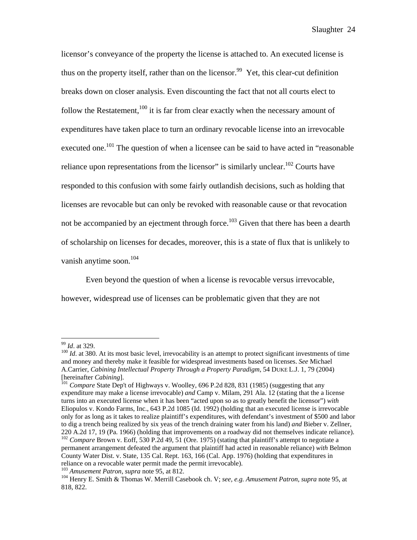licensor's conveyance of the property the license is attached to. An executed license is thus on the property itself, rather than on the licensor.<sup>99</sup> Yet, this clear-cut definition breaks down on closer analysis. Even discounting the fact that not all courts elect to follow the Restatement, $100$  it is far from clear exactly when the necessary amount of expenditures have taken place to turn an ordinary revocable license into an irrevocable executed one.<sup>101</sup> The question of when a licensee can be said to have acted in "reasonable" reliance upon representations from the licensor" is similarly unclear.<sup>102</sup> Courts have responded to this confusion with some fairly outlandish decisions, such as holding that licenses are revocable but can only be revoked with reasonable cause or that revocation not be accompanied by an ejectment through force.<sup>103</sup> Given that there has been a dearth of scholarship on licenses for decades, moreover, this is a state of flux that is unlikely to vanish anytime soon.<sup>104</sup>

Even beyond the question of when a license is revocable versus irrevocable, however, widespread use of licenses can be problematic given that they are not

<sup>&</sup>lt;sup>99</sup> *Id.* at 329.

<sup>&</sup>lt;sup>100</sup> *Id.* at 380. At its most basic level, irrevocability is an attempt to protect significant investments of time and money and thereby make it feasible for widespread investments based on licenses. *See* Michael A.Carrier, *Cabining Intellectual Property Through a Property Paradigm*, 54 DUKE L.J. 1, 79 (2004) [hereinafter *Cabining*]. 101 *Compare* State Dep't of Highways v. Woolley, 696 P.2d 828, 831 (1985) (suggesting that any

expenditure may make a license irrevocable) *and* Camp v. Milam, 291 Ala. 12 (stating that the a license turns into an executed license when it has been "acted upon so as to greatly benefit the licensor") *with* Eliopulos v. Kondo Farms, Inc., 643 P.2d 1085 (Id. 1992) (holding that an executed license is irrevocable only for as long as it takes to realize plaintiff's expenditures, with defendant's investment of \$500 and labor to dig a trench being realized by six yeas of the trench draining water from his land) *and* Bieber v. Zellner, 220 A.2d 17, 19 (Pa. 1966) (holding that improvements on a roadway did not themselves indicate reliance). <sup>102</sup> *Compare* Brown v. Eoff, 530 P.2d 49, 51 (Ore. 1975) (stating that plaintiff's attempt to negotiate a permanent arrangement defeated the argument that plaintiff had acted in reasonable reliance) *with* Belmon

County Water Dist. v. State, 135 Cal. Rept. 163, 166 (Cal. App. 1976) (holding that expenditures in reliance on a revocable water permit made the permit irrevocable).<br><sup>103</sup> Amusement Patron, supra note 95, at 812.

<sup>&</sup>lt;sup>104</sup> Henry E. Smith & Thomas W. Merrill Casebook ch. V; *see, e.g. Amusement Patron, supra* note 95, at 818, 822.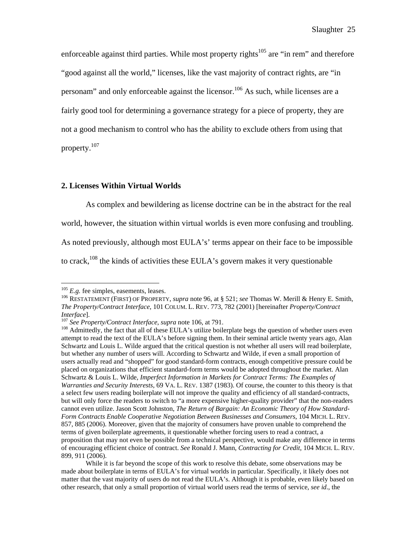enforceable against third parties. While most property rights<sup>105</sup> are "in rem" and therefore "good against all the world," licenses, like the vast majority of contract rights, are "in personam" and only enforceable against the licensor.<sup>106</sup> As such, while licenses are a fairly good tool for determining a governance strategy for a piece of property, they are not a good mechanism to control who has the ability to exclude others from using that property.107

#### **2. Licenses Within Virtual Worlds**

 As complex and bewildering as license doctrine can be in the abstract for the real world, however, the situation within virtual worlds is even more confusing and troubling. As noted previously, although most EULA's' terms appear on their face to be impossible to crack, $108$  the kinds of activities these EULA's govern makes it very questionable

 $\overline{a}$ 

While it is far beyond the scope of this work to resolve this debate, some observations may be made about boilerplate in terms of EULA's for virtual worlds in particular. Specifically, it likely does not matter that the vast majority of users do not read the EULA's. Although it is probable, even likely based on other research, that only a small proportion of virtual world users read the terms of service, *see id*., the

<sup>&</sup>lt;sup>105</sup> *E.g.* fee simples, easements, leases.<br><sup>106</sup> RESTATEMENT (FIRST) OF PROPERTY, *supra* note 96, at § 521; *see* Thomas W. Merill & Henry E. Smith, *The Property/Contract Interface*, 101 COLUM. L. REV. 773, 782 (2001) [hereinafter *Property/Contract* 

*Interface*].<br><sup>107</sup> *See Property/Contract Interface*, *supra* note 106, at 791.<br><sup>108</sup> Admittedly, the fact that all of these EULA's utilize boilerplate begs the question of whether users even attempt to read the text of the EULA's before signing them. In their seminal article twenty years ago, Alan Schwartz and Louis L. Wilde argued that the critical question is not whether all users will read boilerplate, but whether any number of users will. According to Schwartz and Wilde, if even a small proportion of users actually read and "shopped" for good standard-form contracts, enough competitive pressure could be placed on organizations that efficient standard-form terms would be adopted throughout the market. Alan Schwartz & Louis L. Wilde, *Imperfect Information in Markets for Contract Terms: The Examples of Warranties and Security Interests*, 69 VA. L. REV. 1387 (1983). Of course, the counter to this theory is that a select few users reading boilerplate will not improve the quality and efficiency of all standard-contracts, but will only force the readers to switch to "a more expensive higher-quality provider" that the non-readers cannot even utilize. Jason Scott Johnston, *The Return of Bargain: An Economic Theory of How Standard-Form Contracts Enable Cooperative Negotiation Between Businesses and Consumers*, 104 MICH. L. REV. 857, 885 (2006). Moreover, given that the majority of consumers have proven unable to comprehend the terms of given boilerplate agreements, it questionable whether forcing users to read a contract, a proposition that may not even be possible from a technical perspective, would make any difference in terms of encouraging efficient choice of contract. *See* Ronald J. Mann, *Contracting for Credit*, 104 MICH. L. REV. 899, 911 (2006).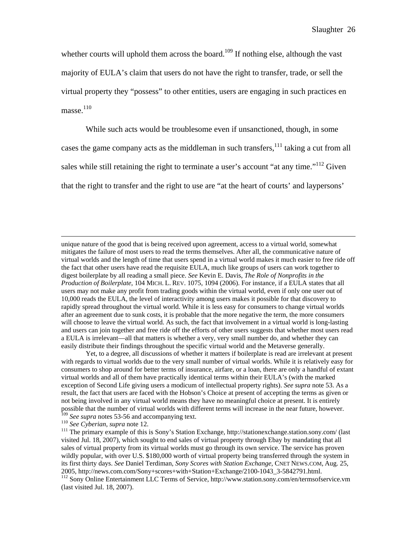whether courts will uphold them across the board.<sup>109</sup> If nothing else, although the vast majority of EULA's claim that users do not have the right to transfer, trade, or sell the virtual property they "possess" to other entities, users are engaging in such practices en masse.<sup>110</sup>

While such acts would be troublesome even if unsanctioned, though, in some cases the game company acts as the middleman in such transfers,  $111$  taking a cut from all sales while still retaining the right to terminate a user's account "at any time."<sup>112</sup> Given that the right to transfer and the right to use are "at the heart of courts' and laypersons'

 unique nature of the good that is being received upon agreement, access to a virtual world, somewhat mitigates the failure of most users to read the terms themselves. After all, the communicative nature of virtual worlds and the length of time that users spend in a virtual world makes it much easier to free ride off the fact that other users have read the requisite EULA, much like groups of users can work together to digest boilerplate by all reading a small piece. *See* Kevin E. Davis, *The Role of Nonprofits in the Production of Boilerplate*, 104 MICH. L. REV. 1075, 1094 (2006). For instance, if a EULA states that all users may not make any profit from trading goods within the virtual world, even if only one user out of 10,000 reads the EULA, the level of interactivity among users makes it possible for that discovery to rapidly spread throughout the virtual world. While it is less easy for consumers to change virtual worlds after an agreement due to sunk costs, it is probable that the more negative the term, the more consumers will choose to leave the virtual world. As such, the fact that involvement in a virtual world is long-lasting and users can join together and free ride off the efforts of other users suggests that whether most users read a EULA is irrelevant—all that matters is whether a very, very small number do, and whether they can easily distribute their findings throughout the specific virtual world and the Metaverse generally.

 Yet, to a degree, all discussions of whether it matters if boilerplate is read are irrelevant at present with regards to virtual worlds due to the very small number of virtual worlds. While it is relatively easy for consumers to shop around for better terms of insurance, airfare, or a loan, there are only a handful of extant virtual worlds and all of them have practically identical terms within their EULA's (with the marked exception of Second Life giving users a modicum of intellectual property rights). *See supra* note 53. As a result, the fact that users are faced with the Hobson's Choice at present of accepting the terms as given or not being involved in any virtual world means they have no meaningful choice at present. It is entirely possible that the number of virtual worlds with different terms will increase in the near future, however.<br><sup>109</sup> See supra notes 53-56 and accompanying text.

<sup>109</sup> *See supra* notes 53-56 and accompanying text. 110 *See Cyberian*, *supra* note 12. 111 The primary example of this is Sony's Station Exchange, http://stationexchange.station.sony.com/ (last visited Jul. 18, 2007), which sought to end sales of virtual property through Ebay by mandating that all sales of virtual property from its virtual worlds must go through its own service. The service has proven wildly popular, with over U.S. \$180,000 worth of virtual property being transferred through the system in its first thirty days. *See* Daniel Terdiman, *Sony Scores with Station Exchange*, CNET NEWS.COM, Aug. 25, 2005, http://news.com.com/Sony+scores+with+Station+Exchange/2100-1043\_3-5842791.html. 112 Sony Online Entertainment LLC Terms of Service, http://www.station.sony.com/en/termsofservice.vm (last visited Jul. 18, 2007).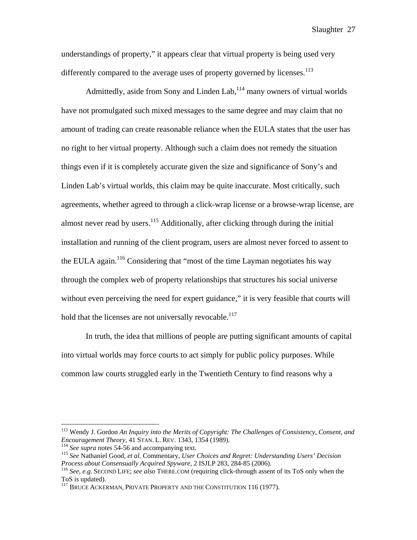understandings of property," it appears clear that virtual property is being used very differently compared to the average uses of property governed by licenses.<sup>113</sup>

Admittedly, aside from Sony and Linden Lab,  $114$  many owners of virtual worlds have not promulgated such mixed messages to the same degree and may claim that no amount of trading can create reasonable reliance when the EULA states that the user has no right to her virtual property. Although such a claim does not remedy the situation things even if it is completely accurate given the size and significance of Sony's and Linden Lab's virtual worlds, this claim may be quite inaccurate. Most critically, such agreements, whether agreed to through a click-wrap license or a browse-wrap license, are almost never read by users.<sup>115</sup> Additionally, after clicking through during the initial installation and running of the client program, users are almost never forced to assent to the EULA again.<sup>116</sup> Considering that "most of the time Layman negotiates his way through the complex web of property relationships that structures his social universe without even perceiving the need for expert guidance," it is very feasible that courts will hold that the licenses are not universally revocable.<sup>117</sup>

 In truth, the idea that millions of people are putting significant amounts of capital into virtual worlds may force courts to act simply for public policy purposes. While common law courts struggled early in the Twentieth Century to find reasons why a

<sup>113</sup> Wendy J. Gordon *An Inquiry into the Merits of Copyright: The Challenges of Consistency, Consent, and* 

Encouragement Theory, 41 STAN. L. REV. 1343, 1354 (1989).<br><sup>114</sup> See supra notes 54-56 and accompanying text.<br><sup>115</sup> See Nathaniel Good, *et al.* Commentary, *User Choices and Regret: Understanding Users' Decision*<br>Process a

<sup>&</sup>lt;sup>116</sup> See, e.g. SECOND LIFE; see also THERE.COM (requiring click-through assent of its ToS only when the ToS is updated).

<sup>&</sup>lt;sup>117</sup> BRUCE ACKERMAN, PRIVATE PROPERTY AND THE CONSTITUTION 116 (1977).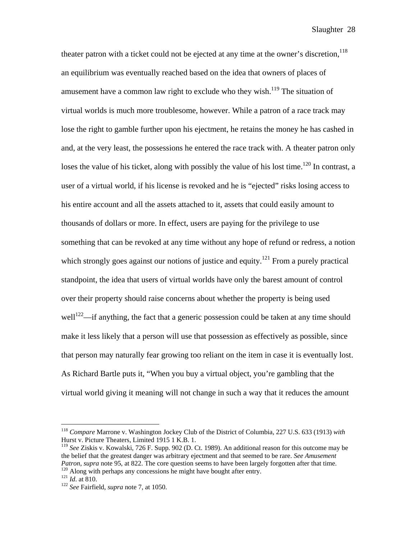theater patron with a ticket could not be ejected at any time at the owner's discretion, $118$ an equilibrium was eventually reached based on the idea that owners of places of amusement have a common law right to exclude who they wish.<sup>119</sup> The situation of virtual worlds is much more troublesome, however. While a patron of a race track may lose the right to gamble further upon his ejectment, he retains the money he has cashed in and, at the very least, the possessions he entered the race track with. A theater patron only loses the value of his ticket, along with possibly the value of his lost time.<sup>120</sup> In contrast, a user of a virtual world, if his license is revoked and he is "ejected" risks losing access to his entire account and all the assets attached to it, assets that could easily amount to thousands of dollars or more. In effect, users are paying for the privilege to use something that can be revoked at any time without any hope of refund or redress, a notion which strongly goes against our notions of justice and equity.<sup>121</sup> From a purely practical standpoint, the idea that users of virtual worlds have only the barest amount of control over their property should raise concerns about whether the property is being used well<sup>122</sup>—if anything, the fact that a generic possession could be taken at any time should make it less likely that a person will use that possession as effectively as possible, since that person may naturally fear growing too reliant on the item in case it is eventually lost. As Richard Bartle puts it, "When you buy a virtual object, you're gambling that the virtual world giving it meaning will not change in such a way that it reduces the amount

<sup>118</sup> *Compare* Marrone v. Washington Jockey Club of the District of Columbia, 227 U.S. 633 (1913) *with* Hurst v. Picture Theaters, Limited 1915 1 K.B. 1.

<sup>119</sup> *See* Ziskis v. Kowalski, 726 F. Supp. 902 (D. Ct. 1989). An additional reason for this outcome may be the belief that the greatest danger was arbitrary ejectment and that seemed to be rare. *See Amusement*  Patron, supra note 95, at 822. The core question seems to have been largely forgotten after that time.<br><sup>120</sup> Along with perhaps any concessions he might have bought after entry.<br><sup>121</sup> *Id.* at 810.<br><sup>122</sup> *See* Fairfield,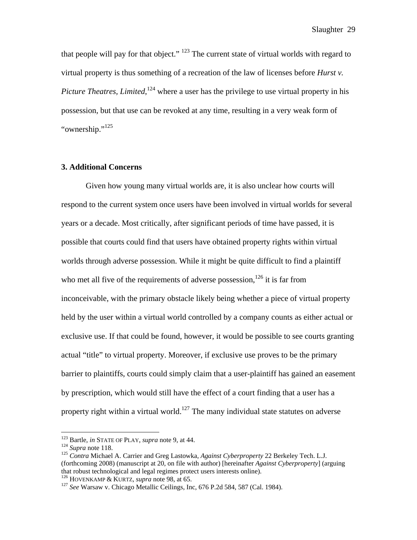that people will pay for that object." <sup>123</sup> The current state of virtual worlds with regard to virtual property is thus something of a recreation of the law of licenses before *Hurst v.*  Picture Theatres, Limited, <sup>124</sup> where a user has the privilege to use virtual property in his possession, but that use can be revoked at any time, resulting in a very weak form of "ownership."<sup>125</sup>

#### **3. Additional Concerns**

 Given how young many virtual worlds are, it is also unclear how courts will respond to the current system once users have been involved in virtual worlds for several years or a decade. Most critically, after significant periods of time have passed, it is possible that courts could find that users have obtained property rights within virtual worlds through adverse possession. While it might be quite difficult to find a plaintiff who met all five of the requirements of adverse possession,  $126$  it is far from inconceivable, with the primary obstacle likely being whether a piece of virtual property held by the user within a virtual world controlled by a company counts as either actual or exclusive use. If that could be found, however, it would be possible to see courts granting actual "title" to virtual property. Moreover, if exclusive use proves to be the primary barrier to plaintiffs, courts could simply claim that a user-plaintiff has gained an easement by prescription, which would still have the effect of a court finding that a user has a property right within a virtual world.<sup>127</sup> The many individual state statutes on adverse

<sup>&</sup>lt;sup>123</sup> Bartle, *in* STATE OF PLAY, *supra* note 9, at 44.

<sup>124</sup> Supra note 118.<br><sup>124</sup> Supra note 118.<br><sup>125</sup> *Contra* Michael A. Carrier and Greg Lastowka, *Against Cyberproperty* 22 Berkeley Tech. L.J. (forthcoming 2008) (manuscript at 20, on file with author) [hereinafter *Against Cyberproperty*] (arguing that robust technological and legal regimes protect users interests online).<br><sup>126</sup> HOVENKAMP & KURTZ, *supra* note 98, at 65.

<sup>&</sup>lt;sup>127</sup> See Warsaw v. Chicago Metallic Ceilings, Inc, 676 P.2d 584, 587 (Cal. 1984).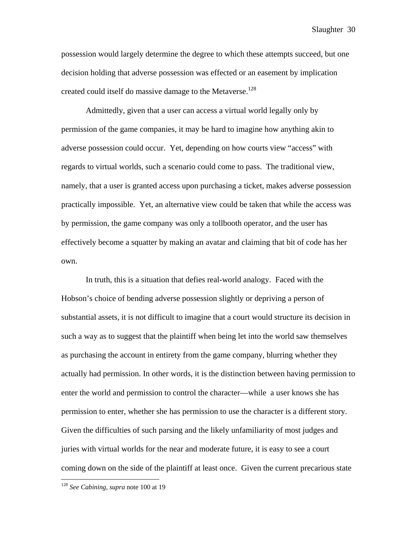possession would largely determine the degree to which these attempts succeed, but one decision holding that adverse possession was effected or an easement by implication created could itself do massive damage to the Metaverse.<sup>128</sup>

 Admittedly, given that a user can access a virtual world legally only by permission of the game companies, it may be hard to imagine how anything akin to adverse possession could occur. Yet, depending on how courts view "access" with regards to virtual worlds, such a scenario could come to pass. The traditional view, namely, that a user is granted access upon purchasing a ticket, makes adverse possession practically impossible. Yet, an alternative view could be taken that while the access was by permission, the game company was only a tollbooth operator, and the user has effectively become a squatter by making an avatar and claiming that bit of code has her own.

In truth, this is a situation that defies real-world analogy. Faced with the Hobson's choice of bending adverse possession slightly or depriving a person of substantial assets, it is not difficult to imagine that a court would structure its decision in such a way as to suggest that the plaintiff when being let into the world saw themselves as purchasing the account in entirety from the game company, blurring whether they actually had permission. In other words, it is the distinction between having permission to enter the world and permission to control the character—while a user knows she has permission to enter, whether she has permission to use the character is a different story. Given the difficulties of such parsing and the likely unfamiliarity of most judges and juries with virtual worlds for the near and moderate future, it is easy to see a court coming down on the side of the plaintiff at least once. Given the current precarious state

<sup>128</sup> *See Cabining*, *supra* note 100 at 19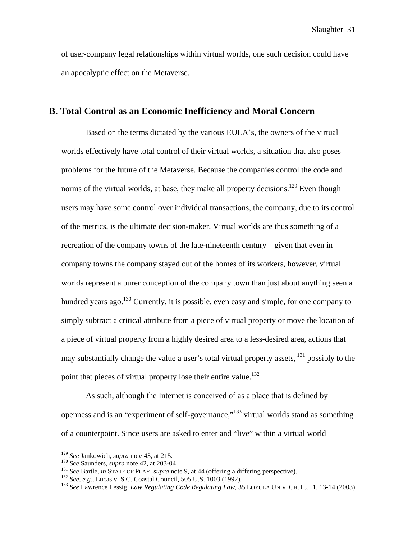of user-company legal relationships within virtual worlds, one such decision could have an apocalyptic effect on the Metaverse.

#### **B. Total Control as an Economic Inefficiency and Moral Concern**

Based on the terms dictated by the various EULA's, the owners of the virtual worlds effectively have total control of their virtual worlds, a situation that also poses problems for the future of the Metaverse. Because the companies control the code and norms of the virtual worlds, at base, they make all property decisions.<sup>129</sup> Even though users may have some control over individual transactions, the company, due to its control of the metrics, is the ultimate decision-maker. Virtual worlds are thus something of a recreation of the company towns of the late-nineteenth century—given that even in company towns the company stayed out of the homes of its workers, however, virtual worlds represent a purer conception of the company town than just about anything seen a hundred years ago.<sup>130</sup> Currently, it is possible, even easy and simple, for one company to simply subtract a critical attribute from a piece of virtual property or move the location of a piece of virtual property from a highly desired area to a less-desired area, actions that may substantially change the value a user's total virtual property assets, <sup>131</sup> possibly to the point that pieces of virtual property lose their entire value.<sup>132</sup>

As such, although the Internet is conceived of as a place that is defined by openness and is an "experiment of self-governance,"133 virtual worlds stand as something of a counterpoint. Since users are asked to enter and "live" within a virtual world

<sup>&</sup>lt;sup>129</sup> See Jankowich, *supra* note 43, at 215.

<sup>&</sup>lt;sup>130</sup> See Saunders, *supra* note 42, at 203-04.<br>
<sup>131</sup> See Bartle, *in* STATE OF PLAY, *supra* note 9, at 44 (offering a differing perspective).<br>
<sup>131</sup> See Bartle, *in* STATE OF PLAY, *supra* note 9, at 44 (offering a dif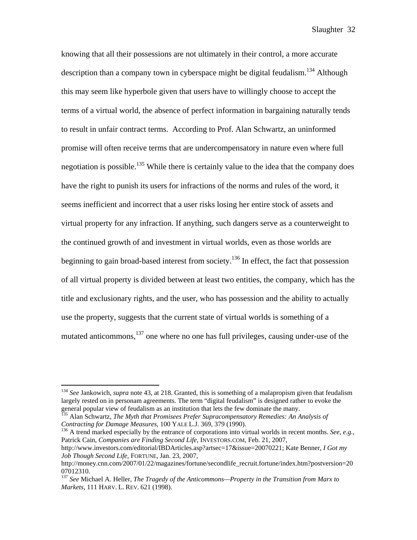knowing that all their possessions are not ultimately in their control, a more accurate description than a company town in cyberspace might be digital feudalism.<sup>134</sup> Although this may seem like hyperbole given that users have to willingly choose to accept the terms of a virtual world, the absence of perfect information in bargaining naturally tends to result in unfair contract terms. According to Prof. Alan Schwartz, an uninformed promise will often receive terms that are undercompensatory in nature even where full negotiation is possible.<sup>135</sup> While there is certainly value to the idea that the company does have the right to punish its users for infractions of the norms and rules of the word, it seems inefficient and incorrect that a user risks losing her entire stock of assets and virtual property for any infraction. If anything, such dangers serve as a counterweight to the continued growth of and investment in virtual worlds, even as those worlds are beginning to gain broad-based interest from society.<sup>136</sup> In effect, the fact that possession of all virtual property is divided between at least two entities, the company, which has the title and exclusionary rights, and the user, who has possession and the ability to actually use the property, suggests that the current state of virtual worlds is something of a mutated anticommons,<sup>137</sup> one where no one has full privileges, causing under-use of the

general popular view of feudalism as an institution that lets the few dominate the many.<br><sup>135</sup> Alan Schwartz, *The Myth that Promisees Prefer Supracompensatory Remedies: An Analysis of*<br>*Contracting for Damage Measures*, 1

<sup>136</sup> A trend marked especially by the entrance of corporations into virtual worlds in recent months. *See*, *e.g.*, Patrick Cain, *Companies are Finding Second Life*, INVESTORS.COM, Feb. 21, 2007, http://www.investors.com/editorial/IBDArticles.asp?artsec=17&issue=20070221; Kate Benner, *I Got my* 

*Job Though Second Life*, FORTUNE, Jan. 23, 2007,

<sup>134</sup> *See* Jankowich, *supra* note 43, at 218. Granted, this is something of a malapropism given that feudalism largely rested on in personam agreements. The term "digital feudalism" is designed rather to evoke the

http://money.cnn.com/2007/01/22/magazines/fortune/secondlife\_recruit.fortune/index.htm?postversion=20 07012310.

<sup>137</sup> *See* Michael A. Heller, *The Tragedy of the Anticommons—Property in the Transition from Marx to Markets*, 111 HARV. L. REV. 621 (1998).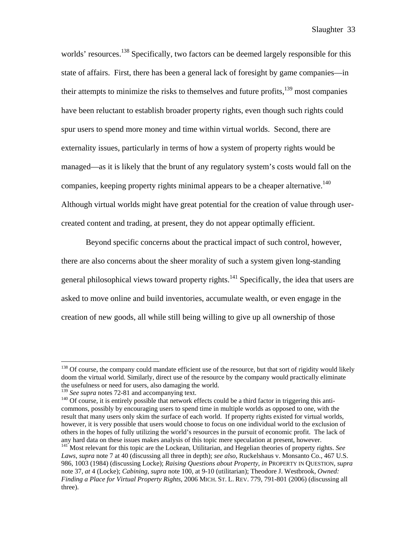worlds' resources.<sup>138</sup> Specifically, two factors can be deemed largely responsible for this state of affairs. First, there has been a general lack of foresight by game companies—in their attempts to minimize the risks to themselves and future profits,  $139$  most companies have been reluctant to establish broader property rights, even though such rights could spur users to spend more money and time within virtual worlds. Second, there are externality issues, particularly in terms of how a system of property rights would be managed—as it is likely that the brunt of any regulatory system's costs would fall on the companies, keeping property rights minimal appears to be a cheaper alternative.<sup>140</sup> Although virtual worlds might have great potential for the creation of value through usercreated content and trading, at present, they do not appear optimally efficient.

 Beyond specific concerns about the practical impact of such control, however, there are also concerns about the sheer morality of such a system given long-standing general philosophical views toward property rights.<sup>141</sup> Specifically, the idea that users are asked to move online and build inventories, accumulate wealth, or even engage in the creation of new goods, all while still being willing to give up all ownership of those

1

<sup>&</sup>lt;sup>138</sup> Of course, the company could mandate efficient use of the resource, but that sort of rigidity would likely doom the virtual world. Similarly, direct use of the resource by the company would practically eliminate the usefulness or need for users, also damaging the world.<br><sup>139</sup> See supra notes 72-81 and accompanying text.

<sup>&</sup>lt;sup>140</sup> Of course, it is entirely possible that network effects could be a third factor in triggering this anticommons, possibly by encouraging users to spend time in multiple worlds as opposed to one, with the result that many users only skim the surface of each world. If property rights existed for virtual worlds, however, it is very possible that users would choose to focus on one individual world to the exclusion of others in the hopes of fully utilizing the world's resources in the pursuit of economic profit. The lack of any hard data on these issues makes analysis of this topic mere speculation at present, however. 141 Most relevant for this topic are the Lockean, Utilitarian, and Hegelian theories of property rights. *See*

*Laws*, *supra* note 7 at 40 (discussing all three in depth); *see also*, Ruckelshaus v. Monsanto Co., 467 U.S. 986, 1003 (1984) (discussing Locke); *Raising Questions about Property*, *in* PROPERTY IN QUESTION*, supra*  note 37*, at* 4 (Locke); *Cabining*, *supra* note 100, at 9-10 (utilitarian); Theodore J. Westbrook, *Owned: Finding a Place for Virtual Property Rights*, 2006 MICH. ST. L. REV. 779, 791-801 (2006) (discussing all three).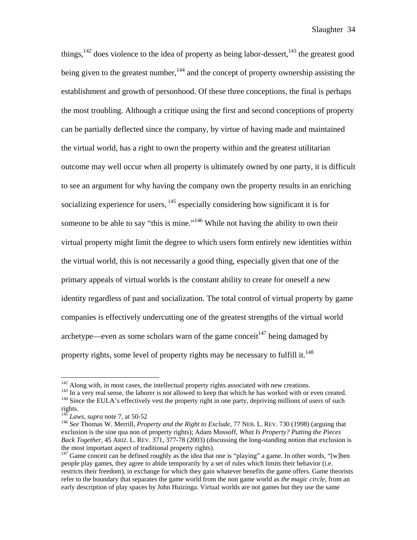things,<sup>142</sup> does violence to the idea of property as being labor-dessert,<sup>143</sup> the greatest good being given to the greatest number,  $144$  and the concept of property ownership assisting the establishment and growth of personhood. Of these three conceptions, the final is perhaps the most troubling. Although a critique using the first and second conceptions of property can be partially deflected since the company, by virtue of having made and maintained the virtual world, has a right to own the property within and the greatest utilitarian outcome may well occur when all property is ultimately owned by one party, it is difficult to see an argument for why having the company own the property results in an enriching socializing experience for users,  $145$  especially considering how significant it is for someone to be able to say "this is mine."<sup>146</sup> While not having the ability to own their virtual property might limit the degree to which users form entirely new identities within the virtual world, this is not necessarily a good thing, especially given that one of the primary appeals of virtual worlds is the constant ability to create for oneself a new identity regardless of past and socialization. The total control of virtual property by game companies is effectively undercutting one of the greatest strengths of the virtual world archetype—even as some scholars warn of the game conceit<sup>147</sup> being damaged by property rights, some level of property rights may be necessary to fulfill it.<sup>148</sup>

 $142$  Along with, in most cases, the intellectual property rights associated with new creations.

 $^{143}$  In a very real sense, the laborer is not allowed to keep that which he has worked with or even created.<br><sup>144</sup> Since the EULA's effectively vest the property right in one party, depriving millions of users of such rights.<br><sup>145</sup> *Laws, supra* note 7, at 50-52

<sup>145</sup> *Laws*, *supra* note 7, at 50-52 146 *See* Thomas W. Merrill, *Property and the Right to Exclude*, 77 NEB. L. REV. 730 (1998) (arguing that exclusion is the sine qua non of property rights); Adam Mossoff, *What Is Property? Putting the Pieces Back Together,* 45 ARIZ. L. REV. 371, 377-78 (2003) (discussing the long-standing notion that exclusion is the most important aspect of traditional property rights).

<sup>&</sup>lt;sup>147</sup> Game conceit can be defined roughly as the idea that one is "playing" a game. In other words, "[w]hen people play games, they agree to abide temporarily by a set of rules which limits their behavior (i.e. restricts their freedom), in exchange for which they gain whatever benefits the game offers. Game theorists refer to the boundary that separates the game world from the non game world as *the magic circle*, from an early description of play spaces by John Huizinga. Virtual worlds are not games but they use the same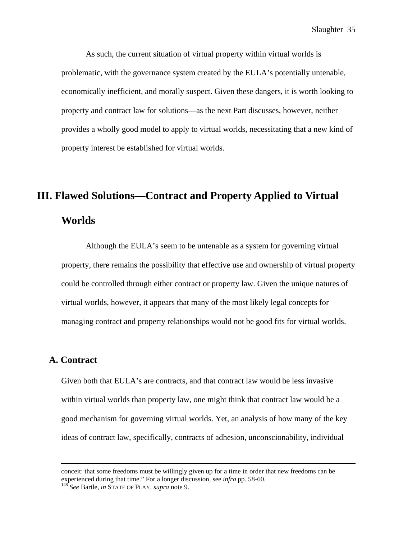As such, the current situation of virtual property within virtual worlds is problematic, with the governance system created by the EULA's potentially untenable, economically inefficient, and morally suspect. Given these dangers, it is worth looking to property and contract law for solutions—as the next Part discusses, however, neither provides a wholly good model to apply to virtual worlds, necessitating that a new kind of property interest be established for virtual worlds.

# **III. Flawed Solutions—Contract and Property Applied to Virtual Worlds**

 Although the EULA's seem to be untenable as a system for governing virtual property, there remains the possibility that effective use and ownership of virtual property could be controlled through either contract or property law. Given the unique natures of virtual worlds, however, it appears that many of the most likely legal concepts for managing contract and property relationships would not be good fits for virtual worlds.

#### **A. Contract**

 Given both that EULA's are contracts, and that contract law would be less invasive within virtual worlds than property law, one might think that contract law would be a good mechanism for governing virtual worlds. Yet, an analysis of how many of the key ideas of contract law, specifically, contracts of adhesion, unconscionability, individual

conceit: that some freedoms must be willingly given up for a time in order that new freedoms can be experienced during that time." For a longer discussion, see *infra* pp. 58-60. 148 *See* Bartle, *in* STATE OF PLAY, *supra* note 9.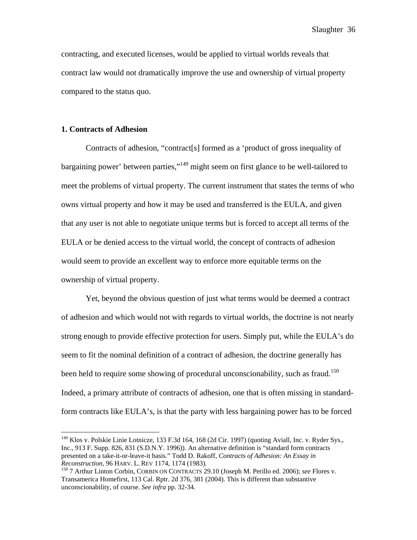contracting, and executed licenses, would be applied to virtual worlds reveals that contract law would not dramatically improve the use and ownership of virtual property compared to the status quo.

#### **1. Contracts of Adhesion**

 $\overline{a}$ 

 Contracts of adhesion, "contract[s] formed as a 'product of gross inequality of bargaining power' between parties,"<sup>149</sup> might seem on first glance to be well-tailored to meet the problems of virtual property. The current instrument that states the terms of who owns virtual property and how it may be used and transferred is the EULA, and given that any user is not able to negotiate unique terms but is forced to accept all terms of the EULA or be denied access to the virtual world, the concept of contracts of adhesion would seem to provide an excellent way to enforce more equitable terms on the ownership of virtual property.

Yet, beyond the obvious question of just what terms would be deemed a contract of adhesion and which would not with regards to virtual worlds, the doctrine is not nearly strong enough to provide effective protection for users. Simply put, while the EULA's do seem to fit the nominal definition of a contract of adhesion, the doctrine generally has been held to require some showing of procedural unconscionability, such as fraud.<sup>150</sup> Indeed, a primary attribute of contracts of adhesion, one that is often missing in standardform contracts like EULA's, is that the party with less bargaining power has to be forced

<sup>&</sup>lt;sup>149</sup> Klos v. Polskie Linie Lotnicze, 133 F.3d 164, 168 (2d Cir. 1997) (quoting Aviall, Inc. v. Ryder Sys., Inc., 913 F. Supp. 826, 831 (S.D.N.Y. 1996)). An alternative definition is "standard form contracts presented on a take-it-or-leave-it basis." Todd D. Rakoff, *Contracts of Adhesion: An Essay in Reconstruction*, 96 HARV. L. REV 1174, 1174 (1983).<br><sup>150</sup> 7 Arthur Linton Corbin, CORBIN ON CONTRACTS 29.10 (Joseph M. Perillo ed. 2006); *see* Flores v.

Transamerica Homefirst, 113 Cal. Rptr. 2d 376, 381 (2004). This is different than substantive unconscionability, of course. *See infra* pp. 32-34.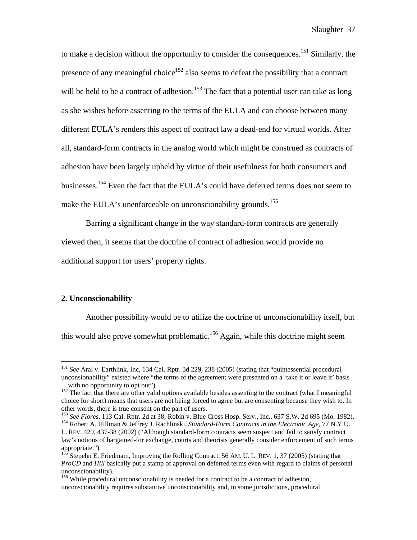to make a decision without the opportunity to consider the consequences.<sup>151</sup> Similarly, the presence of any meaningful choice<sup>152</sup> also seems to defeat the possibility that a contract will be held to be a contract of adhesion.<sup>153</sup> The fact that a potential user can take as long as she wishes before assenting to the terms of the EULA and can choose between many different EULA's renders this aspect of contract law a dead-end for virtual worlds. After all, standard-form contracts in the analog world which might be construed as contracts of adhesion have been largely upheld by virtue of their usefulness for both consumers and businesses.<sup>154</sup> Even the fact that the EULA's could have deferred terms does not seem to make the EULA's unenforceable on unconscionability grounds.<sup>155</sup>

Barring a significant change in the way standard-form contracts are generally viewed then, it seems that the doctrine of contract of adhesion would provide no additional support for users' property rights.

#### **2. Unconscionability**

 $\overline{a}$ 

 Another possibility would be to utilize the doctrine of unconscionability itself, but this would also prove somewhat problematic.<sup>156</sup> Again, while this doctrine might seem

<sup>154</sup> Robert A. Hillman & Jeffrey J. Rachlinski, Standard-Form Contracts in the Electronic Age, 77 N.Y.U. L. REV. 429, 437-38 (2002) ("Although standard-form contracts seem suspect and fail to satisfy contract law's notions of bargained-for exchange, courts and theorists generally consider enforcement of such terms appropriate.")

<sup>151</sup> *See* Aral v. Earthlink, Inc, 134 Cal. Rptr. 3d 229, 238 (2005) (stating that "quintessential procedural unconsionability" existed where "the terms of the agreement were presented on a 'take it or leave it' basis . . . with no opportunity to opt out").

<sup>&</sup>lt;sup>152</sup> The fact that there are other valid options available besides assenting to the contract (what I meaningful choice for short) means that users are not being forced to agree but are consenting because they wish to. In other words, there is true consent on the part of users.<br><sup>153</sup> See Flores, 113 Cal. Rptr. 2d at 38; Robin v. Blue Cross Hosp. Serv., Inc., 637 S.W. 2d 695 (Mo. 1982).

<sup>&</sup>lt;sup>155</sup> Stepehn E. Friedmam, Improving the Rolling Contract, 56 AM. U. L. REV. 1, 37 (2005) (stating that *ProCD* and *Hill* basically put a stamp of approval on deferred terms even with regard to claims of personal unconscionability).

<sup>&</sup>lt;sup>156</sup> While procedural unconscionability is needed for a contract to be a contract of adhesion, unconscionability requires substantive unconscionability and, in some jurisdictions, procedural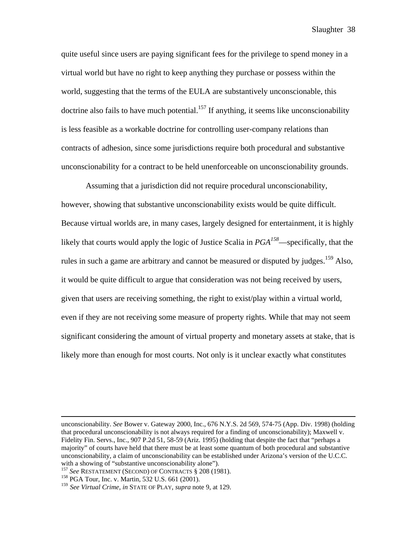quite useful since users are paying significant fees for the privilege to spend money in a virtual world but have no right to keep anything they purchase or possess within the world, suggesting that the terms of the EULA are substantively unconscionable, this doctrine also fails to have much potential.<sup>157</sup> If anything, it seems like unconscionability is less feasible as a workable doctrine for controlling user-company relations than contracts of adhesion, since some jurisdictions require both procedural and substantive unconscionability for a contract to be held unenforceable on unconscionability grounds.

 Assuming that a jurisdiction did not require procedural unconscionability, however, showing that substantive unconscionability exists would be quite difficult. Because virtual worlds are, in many cases, largely designed for entertainment, it is highly likely that courts would apply the logic of Justice Scalia in  $PGA^{158}$ —specifically, that the rules in such a game are arbitrary and cannot be measured or disputed by judges.<sup>159</sup> Also, it would be quite difficult to argue that consideration was not being received by users, given that users are receiving something, the right to exist/play within a virtual world, even if they are not receiving some measure of property rights. While that may not seem significant considering the amount of virtual property and monetary assets at stake, that is likely more than enough for most courts. Not only is it unclear exactly what constitutes

unconscionability. *See* Bower v. Gateway 2000, Inc., 676 N.Y.S. 2d 569, 574-75 (App. Div. 1998) (holding that procedural unconscionability is not always required for a finding of unconscionability); Maxwell v. Fidelity Fin. Servs., Inc., 907 P.2d 51, 58-59 (Ariz. 1995) (holding that despite the fact that "perhaps a majority" of courts have held that there must be at least some quantum of both procedural and substantive unconscionability, a claim of unconscionability can be established under Arizona's version of the U.C.C. with a showing of "substantive unconscionability alone").

<sup>&</sup>lt;sup>157</sup> *See* RESTATEMENT (SECOND) OF CONTRACTS § 208 (1981).<br><sup>158</sup> PGA Tour, Inc. v. Martin, 532 U.S. 661 (2001).

<sup>159</sup> *See Virtual Crime*, *in* STATE OF PLAY, *supra* note 9, at 129.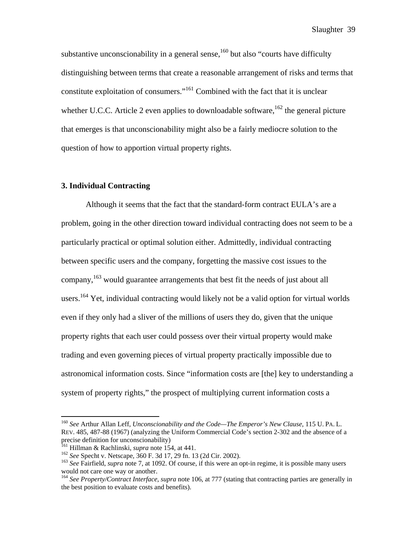substantive unconscionability in a general sense,  $160$  but also "courts have difficulty distinguishing between terms that create a reasonable arrangement of risks and terms that constitute exploitation of consumers."<sup>161</sup> Combined with the fact that it is unclear whether U.C.C. Article 2 even applies to downloadable software,  $^{162}$  the general picture that emerges is that unconscionability might also be a fairly mediocre solution to the question of how to apportion virtual property rights.

#### **3. Individual Contracting**

 Although it seems that the fact that the standard-form contract EULA's are a problem, going in the other direction toward individual contracting does not seem to be a particularly practical or optimal solution either. Admittedly, individual contracting between specific users and the company, forgetting the massive cost issues to the company,  $163$  would guarantee arrangements that best fit the needs of just about all users.<sup>164</sup> Yet, individual contracting would likely not be a valid option for virtual worlds even if they only had a sliver of the millions of users they do, given that the unique property rights that each user could possess over their virtual property would make trading and even governing pieces of virtual property practically impossible due to astronomical information costs. Since "information costs are [the] key to understanding a system of property rights," the prospect of multiplying current information costs a

<sup>160</sup> *See* Arthur Allan Leff, *Unconscionability and the Code—The Emperor's New Clause*, 115 U. PA. L. REV. 485, 487-88 (1967) (analyzing the Uniform Commercial Code's section 2-302 and the absence of a precise definition for unconscionability)<br><sup>161</sup> Hillman & Rachlinski, *supra* note 154, at 441.

<sup>&</sup>lt;sup>162</sup> See Specht v. Netscape, 360 F. 3d 17, 29 fn. 13 (2d Cir. 2002).<br><sup>163</sup> See Fairfield, *supra* note 7, at 1092. Of course, if this were an opt-in regime, it is possible many users would not care one way or another.

<sup>164</sup> *See Property/Contract Interface*, *supra* note 106, at 777 (stating that contracting parties are generally in the best position to evaluate costs and benefits).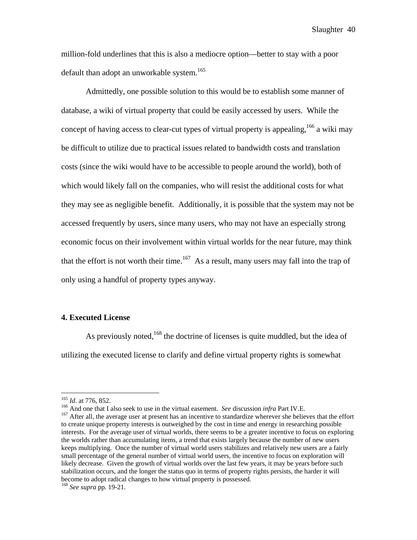million-fold underlines that this is also a mediocre option—better to stay with a poor default than adopt an unworkable system.<sup>165</sup>

 Admittedly, one possible solution to this would be to establish some manner of database, a wiki of virtual property that could be easily accessed by users. While the concept of having access to clear-cut types of virtual property is appealing,  $1^{66}$  a wiki may be difficult to utilize due to practical issues related to bandwidth costs and translation costs (since the wiki would have to be accessible to people around the world), both of which would likely fall on the companies, who will resist the additional costs for what they may see as negligible benefit. Additionally, it is possible that the system may not be accessed frequently by users, since many users, who may not have an especially strong economic focus on their involvement within virtual worlds for the near future, may think that the effort is not worth their time.<sup>167</sup> As a result, many users may fall into the trap of only using a handful of property types anyway.

### **4. Executed License**

As previously noted,<sup>168</sup> the doctrine of licenses is quite muddled, but the idea of utilizing the executed license to clarify and define virtual property rights is somewhat

<sup>&</sup>lt;sup>165</sup> *Id.* at 776, 852.<br><sup>166</sup> And one that I also seek to use in the virtual easement. *See* discussion *infra* Part IV.E.<br><sup>167</sup> After all, the average user at present has an incentive to standardize wherever she believe to create unique property interests is outweighed by the cost in time and energy in researching possible interests. For the average user of virtual worlds, there seems to be a greater incentive to focus on exploring the worlds rather than accumulating items, a trend that exists largely because the number of new users keeps multiplying. Once the number of virtual world users stabilizes and relatively new users are a fairly small percentage of the general number of virtual world users, the incentive to focus on exploration will likely decrease. Given the growth of virtual worlds over the last few years, it may be years before such stabilization occurs, and the longer the status quo in terms of property rights persists, the harder it will become to adopt radical changes to how virtual property is possessed.

<sup>168</sup> *See supra* pp. 19-21.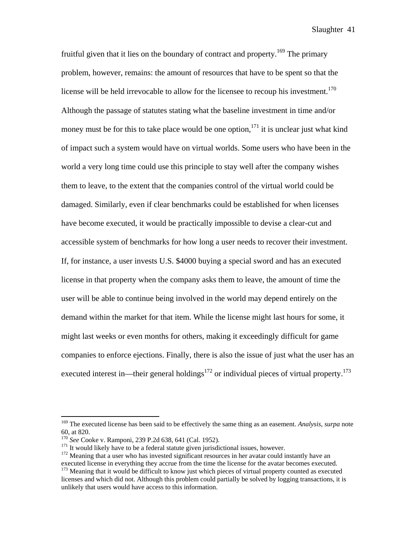fruitful given that it lies on the boundary of contract and property.<sup>169</sup> The primary problem, however, remains: the amount of resources that have to be spent so that the license will be held irrevocable to allow for the licensee to recoup his investment.<sup>170</sup> Although the passage of statutes stating what the baseline investment in time and/or money must be for this to take place would be one option.<sup>171</sup> it is unclear just what kind of impact such a system would have on virtual worlds. Some users who have been in the world a very long time could use this principle to stay well after the company wishes them to leave, to the extent that the companies control of the virtual world could be damaged. Similarly, even if clear benchmarks could be established for when licenses have become executed, it would be practically impossible to devise a clear-cut and accessible system of benchmarks for how long a user needs to recover their investment. If, for instance, a user invests U.S. \$4000 buying a special sword and has an executed license in that property when the company asks them to leave, the amount of time the user will be able to continue being involved in the world may depend entirely on the demand within the market for that item. While the license might last hours for some, it might last weeks or even months for others, making it exceedingly difficult for game companies to enforce ejections. Finally, there is also the issue of just what the user has an executed interest in—their general holdings<sup>172</sup> or individual pieces of virtual property.<sup>173</sup>

1

<sup>169</sup> The executed license has been said to be effectively the same thing as an easement. *Analysis*, *surpa* note 60, at 820.<br><sup>170</sup> See Cooke v. Ramponi, 239 P.2d 638, 641 (Cal. 1952).

 $^{171}$  It would likely have to be a federal statute given jurisdictional issues, however.<br><sup>172</sup> Meaning that a user who has invested significant resources in her avatar could instantly have an executed license in everyth

<sup>&</sup>lt;sup>173</sup> Meaning that it would be difficult to know just which pieces of virtual property counted as executed. licenses and which did not. Although this problem could partially be solved by logging transactions, it is unlikely that users would have access to this information.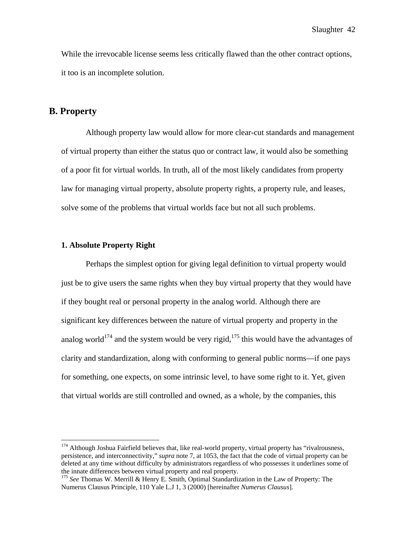While the irrevocable license seems less critically flawed than the other contract options, it too is an incomplete solution.

### **B. Property**

 $\overline{a}$ 

 Although property law would allow for more clear-cut standards and management of virtual property than either the status quo or contract law, it would also be something of a poor fit for virtual worlds. In truth, all of the most likely candidates from property law for managing virtual property, absolute property rights, a property rule, and leases, solve some of the problems that virtual worlds face but not all such problems.

### **1. Absolute Property Right**

 Perhaps the simplest option for giving legal definition to virtual property would just be to give users the same rights when they buy virtual property that they would have if they bought real or personal property in the analog world. Although there are significant key differences between the nature of virtual property and property in the analog world<sup>174</sup> and the system would be very rigid,<sup>175</sup> this would have the advantages of clarity and standardization, along with conforming to general public norms—if one pays for something, one expects, on some intrinsic level, to have some right to it. Yet, given that virtual worlds are still controlled and owned, as a whole, by the companies, this

<sup>&</sup>lt;sup>174</sup> Although Joshua Fairfield believes that, like real-world property, virtual property has "rivalrousness, persistence, and interconnectivity," *supra* note 7, at 1053, the fact that the code of virtual property can be deleted at any time without difficulty by administrators regardless of who possesses it underlines some of the innate differences between virtual property and real property. 175 *See* Thomas W. Merrill & Henry E. Smith, Optimal Standardization in the Law of Property: The

Numerus Clausus Principle, 110 Yale L.J 1, 3 (2000) [hereinafter *Numerus Clausus*].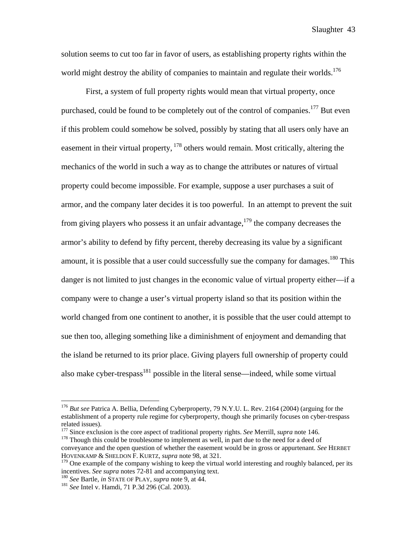solution seems to cut too far in favor of users, as establishing property rights within the world might destroy the ability of companies to maintain and regulate their worlds.<sup>176</sup>

 First, a system of full property rights would mean that virtual property, once purchased, could be found to be completely out of the control of companies.<sup>177</sup> But even if this problem could somehow be solved, possibly by stating that all users only have an easement in their virtual property, <sup>178</sup> others would remain. Most critically, altering the mechanics of the world in such a way as to change the attributes or natures of virtual property could become impossible. For example, suppose a user purchases a suit of armor, and the company later decides it is too powerful. In an attempt to prevent the suit from giving players who possess it an unfair advantage,  $179$  the company decreases the armor's ability to defend by fifty percent, thereby decreasing its value by a significant amount, it is possible that a user could successfully sue the company for damages.<sup>180</sup> This danger is not limited to just changes in the economic value of virtual property either—if a company were to change a user's virtual property island so that its position within the world changed from one continent to another, it is possible that the user could attempt to sue then too, alleging something like a diminishment of enjoyment and demanding that the island be returned to its prior place. Giving players full ownership of property could also make cyber-trespass<sup>181</sup> possible in the literal sense—indeed, while some virtual

<sup>176</sup> *But see* Patrica A. Bellia, Defending Cyberproperty, 79 N.Y.U. L. Rev. 2164 (2004) (arguing for the establishment of a property rule regime for cyberproperty, though she primarily focuses on cyber-trespass related issues).<br><sup>177</sup> Since exclusion is the core aspect of traditional property rights. See Merrill, *supra* note 146.

<sup>&</sup>lt;sup>178</sup> Though this could be troublesome to implement as well, in part due to the need for a deed of conveyance and the open question of whether the easement would be in gross or appurtenant. *See* HERBET HOVENKAMP & SHELDON F. KURTZ, *supra* note 98, at 321.

<sup>&</sup>lt;sup>179</sup> One example of the company wishing to keep the virtual world interesting and roughly balanced, per its incentives. *See supra* notes  $72-81$  and accompanying text.

<sup>&</sup>lt;sup>180</sup> *See* Bartle, *in* STATE OF PLAY, *supra* note 9, at 44. <sup>181</sup> *See* Intel v. Hamdi, 71 P.3d 296 (Cal. 2003).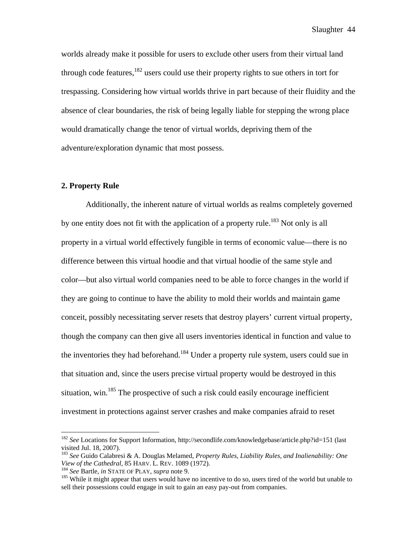worlds already make it possible for users to exclude other users from their virtual land through code features, $182$  users could use their property rights to sue others in tort for trespassing. Considering how virtual worlds thrive in part because of their fluidity and the absence of clear boundaries, the risk of being legally liable for stepping the wrong place would dramatically change the tenor of virtual worlds, depriving them of the adventure/exploration dynamic that most possess.

#### **2. Property Rule**

 Additionally, the inherent nature of virtual worlds as realms completely governed by one entity does not fit with the application of a property rule.<sup>183</sup> Not only is all property in a virtual world effectively fungible in terms of economic value—there is no difference between this virtual hoodie and that virtual hoodie of the same style and color—but also virtual world companies need to be able to force changes in the world if they are going to continue to have the ability to mold their worlds and maintain game conceit, possibly necessitating server resets that destroy players' current virtual property, though the company can then give all users inventories identical in function and value to the inventories they had beforehand.<sup>184</sup> Under a property rule system, users could sue in that situation and, since the users precise virtual property would be destroyed in this situation, win.<sup>185</sup> The prospective of such a risk could easily encourage inefficient investment in protections against server crashes and make companies afraid to reset

<sup>182</sup> *See* Locations for Support Information, http://secondlife.com/knowledgebase/article.php?id=151 (last visited Jul. 18, 2007).

<sup>183</sup> *See* Guido Calabresi & A. Douglas Melamed, *Property Rules, Liability Rules, and Inalienability: One*  View of the Cathedral, 85 HARV. L. REV. 1089 (1972).<br><sup>184</sup> See Bartle, in STATE OF PLAY, *supra* note 9.<br><sup>185</sup> While it might appear that users would have no incentive to do so, users tired of the world but unable to

sell their possessions could engage in suit to gain an easy pay-out from companies.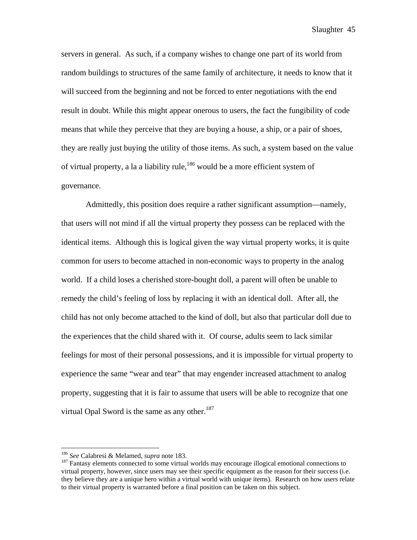servers in general. As such, if a company wishes to change one part of its world from random buildings to structures of the same family of architecture, it needs to know that it will succeed from the beginning and not be forced to enter negotiations with the end result in doubt. While this might appear onerous to users, the fact the fungibility of code means that while they perceive that they are buying a house, a ship, or a pair of shoes, they are really just buying the utility of those items. As such, a system based on the value of virtual property, a la a liability rule, $186$  would be a more efficient system of governance.

 Admittedly, this position does require a rather significant assumption—namely, that users will not mind if all the virtual property they possess can be replaced with the identical items. Although this is logical given the way virtual property works, it is quite common for users to become attached in non-economic ways to property in the analog world. If a child loses a cherished store-bought doll, a parent will often be unable to remedy the child's feeling of loss by replacing it with an identical doll. After all, the child has not only become attached to the kind of doll, but also that particular doll due to the experiences that the child shared with it. Of course, adults seem to lack similar feelings for most of their personal possessions, and it is impossible for virtual property to experience the same "wear and tear" that may engender increased attachment to analog property, suggesting that it is fair to assume that users will be able to recognize that one virtual Opal Sword is the same as any other. $187$ 

<sup>&</sup>lt;sup>186</sup> See Calabresi & Melamed, supra note 183.

<sup>&</sup>lt;sup>187</sup> Fantasy elements connected to some virtual worlds may encourage illogical emotional connections to virtual property, however, since users may see their specific equipment as the reason for their success (i.e. they believe they are a unique hero within a virtual world with unique items). Research on how users relate to their virtual property is warranted before a final position can be taken on this subject.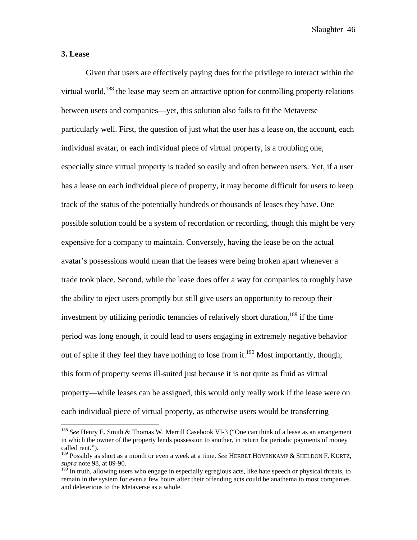#### **3. Lease**

 $\overline{a}$ 

 Given that users are effectively paying dues for the privilege to interact within the virtual world,<sup>188</sup> the lease may seem an attractive option for controlling property relations between users and companies—yet, this solution also fails to fit the Metaverse particularly well. First, the question of just what the user has a lease on, the account, each individual avatar, or each individual piece of virtual property, is a troubling one, especially since virtual property is traded so easily and often between users. Yet, if a user has a lease on each individual piece of property, it may become difficult for users to keep track of the status of the potentially hundreds or thousands of leases they have. One possible solution could be a system of recordation or recording, though this might be very expensive for a company to maintain. Conversely, having the lease be on the actual avatar's possessions would mean that the leases were being broken apart whenever a trade took place. Second, while the lease does offer a way for companies to roughly have the ability to eject users promptly but still give users an opportunity to recoup their investment by utilizing periodic tenancies of relatively short duration,  $^{189}$  if the time period was long enough, it could lead to users engaging in extremely negative behavior out of spite if they feel they have nothing to lose from it.<sup>190</sup> Most importantly, though, this form of property seems ill-suited just because it is not quite as fluid as virtual property—while leases can be assigned, this would only really work if the lease were on each individual piece of virtual property, as otherwise users would be transferring

<sup>188</sup> *See* Henry E. Smith & Thomas W. Merrill Casebook VI-3 ("One can think of a lease as an arrangement in which the owner of the property lends possession to another, in return for periodic payments of money called rent.").

<sup>189</sup> Possibly as short as a month or even a week at a time. *See* HERBET HOVENKAMP & SHELDON F. KURTZ, *supra* note 98, at 89-90.

<sup>&</sup>lt;sup>190</sup> In truth, allowing users who engage in especially egregious acts, like hate speech or physical threats, to remain in the system for even a few hours after their offending acts could be anathema to most companies and deleterious to the Metaverse as a whole.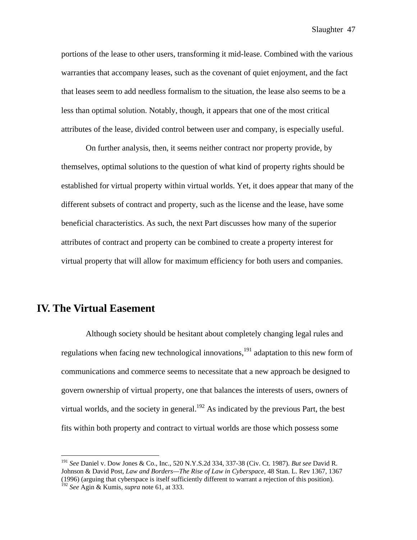portions of the lease to other users, transforming it mid-lease. Combined with the various warranties that accompany leases, such as the covenant of quiet enjoyment, and the fact that leases seem to add needless formalism to the situation, the lease also seems to be a less than optimal solution. Notably, though, it appears that one of the most critical attributes of the lease, divided control between user and company, is especially useful.

 On further analysis, then, it seems neither contract nor property provide, by themselves, optimal solutions to the question of what kind of property rights should be established for virtual property within virtual worlds. Yet, it does appear that many of the different subsets of contract and property, such as the license and the lease, have some beneficial characteristics. As such, the next Part discusses how many of the superior attributes of contract and property can be combined to create a property interest for virtual property that will allow for maximum efficiency for both users and companies.

# **IV. The Virtual Easement**

 $\overline{a}$ 

 Although society should be hesitant about completely changing legal rules and regulations when facing new technological innovations,  $191$  adaptation to this new form of communications and commerce seems to necessitate that a new approach be designed to govern ownership of virtual property, one that balances the interests of users, owners of virtual worlds, and the society in general.<sup>192</sup> As indicated by the previous Part, the best fits within both property and contract to virtual worlds are those which possess some

<sup>191</sup> *See* Daniel v. Dow Jones & Co., Inc., 520 N.Y.S.2d 334, 337-38 (Civ. Ct. 1987). *But see* David R. Johnson & David Post, *Law and Borders—The Rise of Law in Cyberspace*, 48 Stan. L. Rev 1367, 1367 (1996) (arguing that cyberspace is itself sufficiently different to warrant a rejection of this position). <sup>192</sup> *See* Agin & Kumis, *supra* note 61, at 333.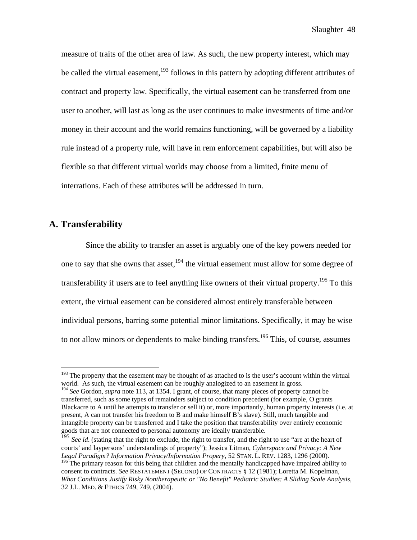measure of traits of the other area of law. As such, the new property interest, which may be called the virtual easement,<sup>193</sup> follows in this pattern by adopting different attributes of contract and property law. Specifically, the virtual easement can be transferred from one user to another, will last as long as the user continues to make investments of time and/or money in their account and the world remains functioning, will be governed by a liability rule instead of a property rule, will have in rem enforcement capabilities, but will also be flexible so that different virtual worlds may choose from a limited, finite menu of interrations. Each of these attributes will be addressed in turn.

## **A. Transferability**

 $\overline{a}$ 

 Since the ability to transfer an asset is arguably one of the key powers needed for one to say that she owns that asset,  $194$  the virtual easement must allow for some degree of transferability if users are to feel anything like owners of their virtual property.<sup>195</sup> To this extent, the virtual easement can be considered almost entirely transferable between individual persons, barring some potential minor limitations. Specifically, it may be wise to not allow minors or dependents to make binding transfers.<sup>196</sup> This, of course, assumes

<sup>&</sup>lt;sup>193</sup> The property that the easement may be thought of as attached to is the user's account within the virtual world. As such, the virtual easement can be roughly analogized to an easement in gross.

<sup>194</sup> *See* Gordon, *supra* note 113, at 1354. I grant, of course, that many pieces of property cannot be transferred, such as some types of remainders subject to condition precedent (for example, O grants Blackacre to A until he attempts to transfer or sell it) or, more importantly, human property interests (i.e. at present, A can not transfer his freedom to B and make himself B's slave). Still, much tangible and intangible property can be transferred and I take the position that transferability over entirely economic goods that are not connected to personal autonomy are ideally transferable.

<sup>&</sup>lt;sup>195</sup> *See id.* (stating that the right to exclude, the right to transfer, and the right to use "are at the heart of courts' and laypersons' understandings of property"); Jessica Litman, *Cyberspace and Privacy: A New Legal Paradigm? Information Privacy/Information Propery*, 52 STAN. L. REV. 1283, 1296 (2000).

<sup>&</sup>lt;sup>196</sup> The primary reason for this being that children and the mentally handicapped have impaired ability to consent to contracts. *See* RESTATEMENT (SECOND) OF CONTRACTS § 12 (1981); Loretta M. Kopelman, *What Conditions Justify Risky Nontherapeutic or "No Benefit" Pediatric Studies: A Sliding Scale Analysis*, 32 J.L. MED. & ETHICS 749, 749, (2004).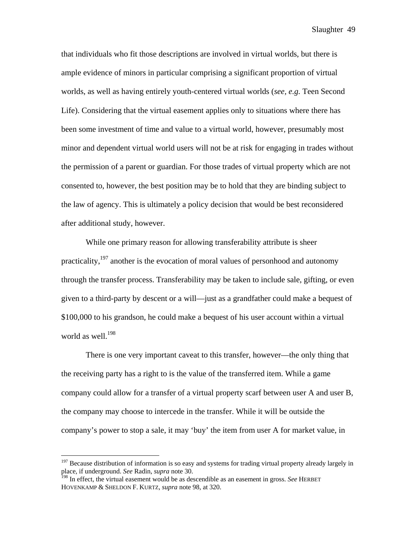that individuals who fit those descriptions are involved in virtual worlds, but there is ample evidence of minors in particular comprising a significant proportion of virtual worlds, as well as having entirely youth-centered virtual worlds (*see, e.g.* Teen Second Life). Considering that the virtual easement applies only to situations where there has been some investment of time and value to a virtual world, however, presumably most minor and dependent virtual world users will not be at risk for engaging in trades without the permission of a parent or guardian. For those trades of virtual property which are not consented to, however, the best position may be to hold that they are binding subject to the law of agency. This is ultimately a policy decision that would be best reconsidered after additional study, however.

While one primary reason for allowing transferability attribute is sheer practicality,197 another is the evocation of moral values of personhood and autonomy through the transfer process. Transferability may be taken to include sale, gifting, or even given to a third-party by descent or a will—just as a grandfather could make a bequest of \$100,000 to his grandson, he could make a bequest of his user account within a virtual world as well.<sup>198</sup>

There is one very important caveat to this transfer, however—the only thing that the receiving party has a right to is the value of the transferred item. While a game company could allow for a transfer of a virtual property scarf between user A and user B, the company may choose to intercede in the transfer. While it will be outside the company's power to stop a sale, it may 'buy' the item from user A for market value, in

 $197$  Because distribution of information is so easy and systems for trading virtual property already largely in place, if underground. *See* Radin, *supra* note 30.

<sup>&</sup>lt;sup>198</sup> In effect, the virtual easement would be as descendible as an easement in gross. *See* HERBET HOVENKAMP & SHELDON F. KURTZ, *supra* note 98, at 320.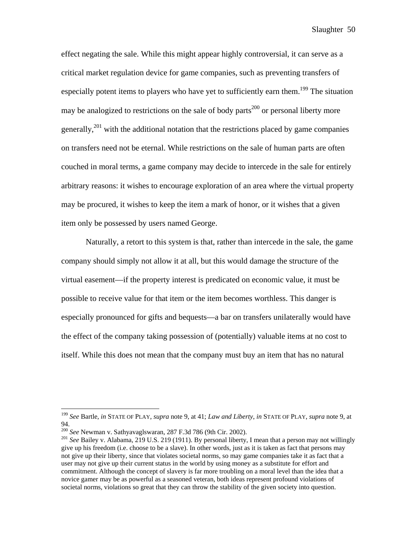effect negating the sale. While this might appear highly controversial, it can serve as a critical market regulation device for game companies, such as preventing transfers of especially potent items to players who have yet to sufficiently earn them.<sup>199</sup> The situation may be analogized to restrictions on the sale of body parts<sup>200</sup> or personal liberty more generally,<sup>201</sup> with the additional notation that the restrictions placed by game companies on transfers need not be eternal. While restrictions on the sale of human parts are often couched in moral terms, a game company may decide to intercede in the sale for entirely arbitrary reasons: it wishes to encourage exploration of an area where the virtual property may be procured, it wishes to keep the item a mark of honor, or it wishes that a given item only be possessed by users named George.

Naturally, a retort to this system is that, rather than intercede in the sale, the game company should simply not allow it at all, but this would damage the structure of the virtual easement—if the property interest is predicated on economic value, it must be possible to receive value for that item or the item becomes worthless. This danger is especially pronounced for gifts and bequests—a bar on transfers unilaterally would have the effect of the company taking possession of (potentially) valuable items at no cost to itself. While this does not mean that the company must buy an item that has no natural

<sup>199</sup> *See* Bartle*, in* STATE OF PLAY, *supra* note 9, at 41; *Law and Liberty*, *in* STATE OF PLAY, *supra* note 9, at 94.<br><sup>200</sup> See Newman v. Sathyavaglswaran, 287 F.3d 786 (9th Cir. 2002).

<sup>&</sup>lt;sup>201</sup> See Bailey v. Alabama, 219 U.S. 219 (1911). By personal liberty, I mean that a person may not willingly give up his freedom (i.e. choose to be a slave). In other words, just as it is taken as fact that persons may not give up their liberty, since that violates societal norms, so may game companies take it as fact that a user may not give up their current status in the world by using money as a substitute for effort and commitment. Although the concept of slavery is far more troubling on a moral level than the idea that a novice gamer may be as powerful as a seasoned veteran, both ideas represent profound violations of societal norms, violations so great that they can throw the stability of the given society into question.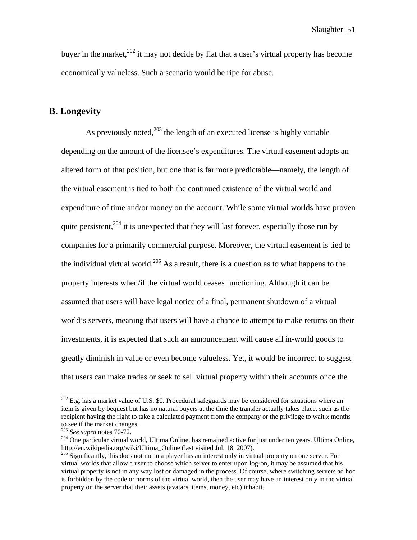buyer in the market, $^{202}$  it may not decide by fiat that a user's virtual property has become economically valueless. Such a scenario would be ripe for abuse.

## **B. Longevity**

As previously noted,<sup>203</sup> the length of an executed license is highly variable depending on the amount of the licensee's expenditures. The virtual easement adopts an altered form of that position, but one that is far more predictable—namely, the length of the virtual easement is tied to both the continued existence of the virtual world and expenditure of time and/or money on the account. While some virtual worlds have proven quite persistent,  $204$  it is unexpected that they will last forever, especially those run by companies for a primarily commercial purpose. Moreover, the virtual easement is tied to the individual virtual world.<sup>205</sup> As a result, there is a question as to what happens to the property interests when/if the virtual world ceases functioning. Although it can be assumed that users will have legal notice of a final, permanent shutdown of a virtual world's servers, meaning that users will have a chance to attempt to make returns on their investments, it is expected that such an announcement will cause all in-world goods to greatly diminish in value or even become valueless. Yet, it would be incorrect to suggest that users can make trades or seek to sell virtual property within their accounts once the

1

 $^{202}$  E.g. has a market value of U.S. \$0. Procedural safeguards may be considered for situations where an item is given by bequest but has no natural buyers at the time the transfer actually takes place, such as the recipient having the right to take a calculated payment from the company or the privilege to wait *x* months to see if the market changes.<br> $^{203}$  See supra notes 70-72.

<sup>&</sup>lt;sup>204</sup> One particular virtual world, Ultima Online, has remained active for just under ten years. Ultima Online, http://en.wikipedia.org/wiki/Ultima\_Online (last visited Jul. 18, 2007).

<sup>&</sup>lt;sup>205</sup> Significantly, this does not mean a player has an interest only in virtual property on one server. For virtual worlds that allow a user to choose which server to enter upon log-on, it may be assumed that his virtual property is not in any way lost or damaged in the process. Of course, where switching servers ad hoc is forbidden by the code or norms of the virtual world, then the user may have an interest only in the virtual property on the server that their assets (avatars, items, money, etc) inhabit.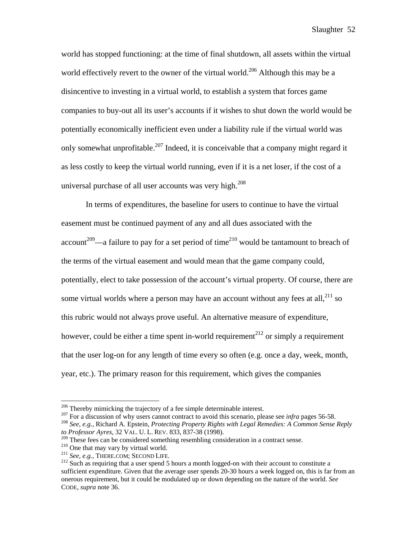world has stopped functioning: at the time of final shutdown, all assets within the virtual world effectively revert to the owner of the virtual world.<sup>206</sup> Although this may be a disincentive to investing in a virtual world, to establish a system that forces game companies to buy-out all its user's accounts if it wishes to shut down the world would be potentially economically inefficient even under a liability rule if the virtual world was only somewhat unprofitable.<sup>207</sup> Indeed, it is conceivable that a company might regard it as less costly to keep the virtual world running, even if it is a net loser, if the cost of a universal purchase of all user accounts was very high. $^{208}$ 

 In terms of expenditures, the baseline for users to continue to have the virtual easement must be continued payment of any and all dues associated with the account<sup>209</sup>—a failure to pay for a set period of time<sup>210</sup> would be tantamount to breach of the terms of the virtual easement and would mean that the game company could, potentially, elect to take possession of the account's virtual property. Of course, there are some virtual worlds where a person may have an account without any fees at all, $^{211}$  so this rubric would not always prove useful. An alternative measure of expenditure, however, could be either a time spent in-world requirement<sup>212</sup> or simply a requirement that the user log-on for any length of time every so often (e.g. once a day, week, month, year, etc.). The primary reason for this requirement, which gives the companies

<sup>&</sup>lt;sup>206</sup> Thereby mimicking the trajectory of a fee simple determinable interest.<br><sup>207</sup> For a discussion of why users cannot contract to avoid this scenario, please see *infra* pages 56-58.<br><sup>208</sup> See, e.g., Richard A. Epstein *to Professor Ayres*, 32 VAL. U. L. REV. 833, 837-38 (1998).

<sup>&</sup>lt;sup>210</sup> One that may vary by virtual world.<br><sup>211</sup> See, e.g., THERE.COM; SECOND LIFE.<br><sup>212</sup> Such as requiring that a user spend 5 hours a month logged-on with their account to constitute a sufficient expenditure. Given that the average user spends 20-30 hours a week logged on, this is far from an onerous requirement, but it could be modulated up or down depending on the nature of the world. *See* CODE, *supra* note 36.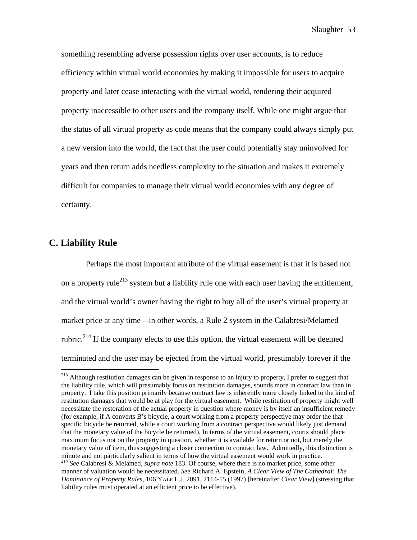something resembling adverse possession rights over user accounts, is to reduce efficiency within virtual world economies by making it impossible for users to acquire property and later cease interacting with the virtual world, rendering their acquired property inaccessible to other users and the company itself. While one might argue that the status of all virtual property as code means that the company could always simply put a new version into the world, the fact that the user could potentially stay uninvolved for years and then return adds needless complexity to the situation and makes it extremely difficult for companies to manage their virtual world economies with any degree of certainty.

## **C. Liability Rule**

1

 Perhaps the most important attribute of the virtual easement is that it is based not on a property rule<sup>213</sup> system but a liability rule one with each user having the entitlement, and the virtual world's owner having the right to buy all of the user's virtual property at market price at any time—in other words, a Rule 2 system in the Calabresi/Melamed rubric.<sup>214</sup> If the company elects to use this option, the virtual easement will be deemed terminated and the user may be ejected from the virtual world, presumably forever if the

<sup>&</sup>lt;sup>213</sup> Although restitution damages can be given in response to an injury to property, I prefer to suggest that the liability rule, which will presumably focus on restitution damages, sounds more in contract law than in property. I take this position primarily because contract law is inherently more closely linked to the kind of restitution damages that would be at play for the virtual easement. While restitution of property might well necessitate the restoration of the actual property in question where money is by itself an insufficient remedy (for example, if A converts B's bicycle, a court working from a property perspective may order the that specific bicycle be returned, while a court working from a contract perspective would likely just demand that the monetary value of the bicycle be returned). In terms of the virtual easement, courts should place maximum focus not on the property in question, whether it is available for return or not, but merely the monetary value of item, thus suggesting a closer connection to contract law. Admittedly, this distinction is minute and not particularly salient in terms of how the virtual easement would work in practice.

<sup>&</sup>lt;sup>214</sup> See Calabresi & Melamed, *supra note* 183. Of course, where there is no market price, some other manner of valuation would be necessitated. *See* Richard A. Epstein, *A Clear View of The Cathedral: The Dominance of Property Rules*, 106 YALE L.J. 2091, 2114-15 (1997) [hereinafter *Clear View*] (stressing that liability rules must operated at an efficient price to be effective).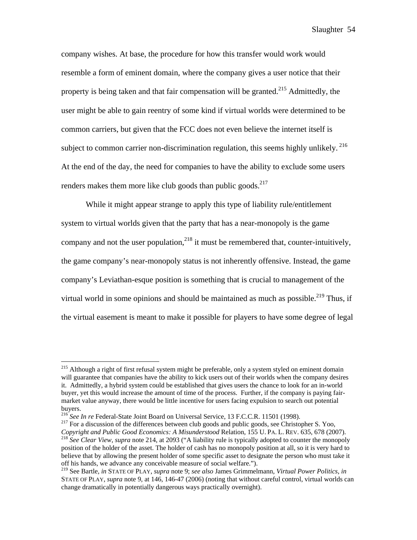company wishes. At base, the procedure for how this transfer would work would resemble a form of eminent domain, where the company gives a user notice that their property is being taken and that fair compensation will be granted.<sup>215</sup> Admittedly, the user might be able to gain reentry of some kind if virtual worlds were determined to be common carriers, but given that the FCC does not even believe the internet itself is subject to common carrier non-discrimination regulation, this seems highly unlikely.<sup>216</sup> At the end of the day, the need for companies to have the ability to exclude some users renders makes them more like club goods than public goods.<sup>217</sup>

While it might appear strange to apply this type of liability rule/entitlement system to virtual worlds given that the party that has a near-monopoly is the game company and not the user population, $^{218}$  it must be remembered that, counter-intuitively, the game company's near-monopoly status is not inherently offensive. Instead, the game company's Leviathan-esque position is something that is crucial to management of the virtual world in some opinions and should be maintained as much as possible.<sup>219</sup> Thus, if the virtual easement is meant to make it possible for players to have some degree of legal

1

<sup>&</sup>lt;sup>215</sup> Although a right of first refusal system might be preferable, only a system styled on eminent domain will guarantee that companies have the ability to kick users out of their worlds when the company desires it. Admittedly, a hybrid system could be established that gives users the chance to look for an in-world buyer, yet this would increase the amount of time of the process. Further, if the company is paying fairmarket value anyway, there would be little incentive for users facing expulsion to search out potential buyers.<br><sup>216</sup> See In re Federal-State Joint Board on Universal Service, 13 F.C.C.R. 11501 (1998).

<sup>&</sup>lt;sup>217</sup> For a discussion of the differences between club goods and public goods, see Christopher S. Yoo, Copyright and Public Good Economics: A Misunderstood Relation, 155 U. PA. L. REV. 635, 678 (2007).<br><sup>218</sup> See Clear View, supra note 214, at 2093 ("A liability rule is typically adopted to counter the monopoly

position of the holder of the asset. The holder of cash has no monopoly position at all, so it is very hard to believe that by allowing the present holder of some specific asset to designate the person who must take it off his hands, we advance any conceivable measure of social welfare.").

<sup>219</sup> See Bartle, *in* STATE OF PLAY, *supra* note 9; *see also* James Grimmelmann, *Virtual Power Politics*, *in* STATE OF PLAY, *supra* note 9, at 146, 146-47 (2006) (noting that without careful control, virtual worlds can change dramatically in potentially dangerous ways practically overnight).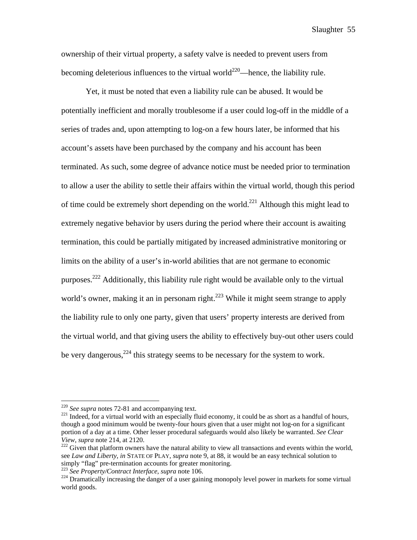ownership of their virtual property, a safety valve is needed to prevent users from becoming deleterious influences to the virtual world<sup>220</sup>—hence, the liability rule.

 Yet, it must be noted that even a liability rule can be abused. It would be potentially inefficient and morally troublesome if a user could log-off in the middle of a series of trades and, upon attempting to log-on a few hours later, be informed that his account's assets have been purchased by the company and his account has been terminated. As such, some degree of advance notice must be needed prior to termination to allow a user the ability to settle their affairs within the virtual world, though this period of time could be extremely short depending on the world.<sup>221</sup> Although this might lead to extremely negative behavior by users during the period where their account is awaiting termination, this could be partially mitigated by increased administrative monitoring or limits on the ability of a user's in-world abilities that are not germane to economic purposes.<sup>222</sup> Additionally, this liability rule right would be available only to the virtual world's owner, making it an in personam right.<sup>223</sup> While it might seem strange to apply the liability rule to only one party, given that users' property interests are derived from the virtual world, and that giving users the ability to effectively buy-out other users could be very dangerous,  $224$  this strategy seems to be necessary for the system to work.

<sup>&</sup>lt;sup>220</sup> *See supra* notes 72-81 and accompanying text.<br><sup>221</sup> Indeed, for a virtual world with an especially fluid economy, it could be as short as a handful of hours, though a good minimum would be twenty-four hours given that a user might not log-on for a significant portion of a day at a time. Other lesser procedural safeguards would also likely be warranted. *See Clear View, supra* note 214, at 2120.<br><sup>222</sup> Given that platform owners have the natural ability to view all transactions and events within the world,

see *Law and Liberty*, *in* STATE OF PLAY, *supra* note 9, at 88, it would be an easy technical solution to simply "flag" pre-termination accounts for greater monitoring.<br><sup>223</sup> See Property/Contract Interface, supra note 106.

<sup>&</sup>lt;sup>224</sup> Dramatically increasing the danger of a user gaining monopoly level power in markets for some virtual world goods.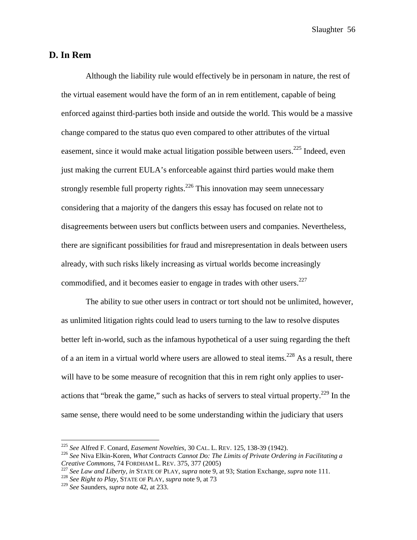## **D. In Rem**

 Although the liability rule would effectively be in personam in nature, the rest of the virtual easement would have the form of an in rem entitlement, capable of being enforced against third-parties both inside and outside the world. This would be a massive change compared to the status quo even compared to other attributes of the virtual easement, since it would make actual litigation possible between users.<sup>225</sup> Indeed, even just making the current EULA's enforceable against third parties would make them strongly resemble full property rights.<sup>226</sup> This innovation may seem unnecessary considering that a majority of the dangers this essay has focused on relate not to disagreements between users but conflicts between users and companies. Nevertheless, there are significant possibilities for fraud and misrepresentation in deals between users already, with such risks likely increasing as virtual worlds become increasingly commodified, and it becomes easier to engage in trades with other users.<sup>227</sup>

 The ability to sue other users in contract or tort should not be unlimited, however, as unlimited litigation rights could lead to users turning to the law to resolve disputes better left in-world, such as the infamous hypothetical of a user suing regarding the theft of a an item in a virtual world where users are allowed to steal items.<sup>228</sup> As a result, there will have to be some measure of recognition that this in rem right only applies to useractions that "break the game," such as hacks of servers to steal virtual property.<sup>229</sup> In the same sense, there would need to be some understanding within the judiciary that users

<sup>&</sup>lt;sup>225</sup> See Alfred F. Conard, *Easement Novelties*, 30 CAL. L. REV. 125, 138-39 (1942).

<sup>&</sup>lt;sup>226</sup> See Niva Elkin-Koren, *What Contracts Cannot Do: The Limits of Private Ordering in Facilitating a* Creative Commons, 74 FORDHAM L. REV. 375, 377 (2005)<br><sup>227</sup> See Law and Liberty, in STATE OF PLAY, supra note 9, at 93; Station Exchange, supra note 111.<br><sup>228</sup> See Right to Play, STATE OF PLAY, supra note 9, at 73

<sup>229</sup> *See* Saunders, *supra* note 42, at 233.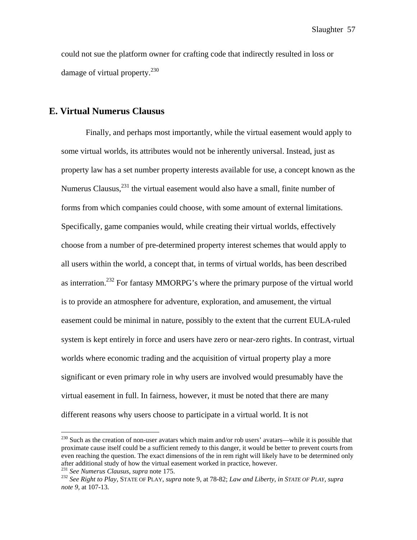could not sue the platform owner for crafting code that indirectly resulted in loss or damage of virtual property.<sup>230</sup>

### **E. Virtual Numerus Clausus**

 Finally, and perhaps most importantly, while the virtual easement would apply to some virtual worlds, its attributes would not be inherently universal. Instead, just as property law has a set number property interests available for use, a concept known as the Numerus Clausus, $^{231}$  the virtual easement would also have a small, finite number of forms from which companies could choose, with some amount of external limitations. Specifically, game companies would, while creating their virtual worlds, effectively choose from a number of pre-determined property interest schemes that would apply to all users within the world, a concept that, in terms of virtual worlds, has been described as interration.<sup>232</sup> For fantasy MMORPG's where the primary purpose of the virtual world is to provide an atmosphere for adventure, exploration, and amusement, the virtual easement could be minimal in nature, possibly to the extent that the current EULA-ruled system is kept entirely in force and users have zero or near-zero rights. In contrast, virtual worlds where economic trading and the acquisition of virtual property play a more significant or even primary role in why users are involved would presumably have the virtual easement in full. In fairness, however, it must be noted that there are many different reasons why users choose to participate in a virtual world. It is not

 $^{230}$  Such as the creation of non-user avatars which maim and/or rob users' avatars—while it is possible that proximate cause itself could be a sufficient remedy to this danger, it would be better to prevent courts from even reaching the question. The exact dimensions of the in rem right will likely have to be determined only after additional study of how the virtual easement worked in practice, however.

 $^{231}$  See Numerus Clausus, supra note 175.<br> $^{232}$  See Right to Play, STATE OF PLAY, supra note 9, at 78-82; Law and Liberty, in STATE OF PLAY, supra *note 9,* at 107-13.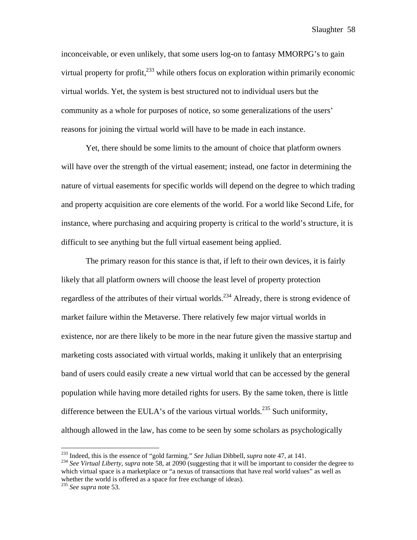inconceivable, or even unlikely, that some users log-on to fantasy MMORPG's to gain virtual property for profit, $^{233}$  while others focus on exploration within primarily economic virtual worlds. Yet, the system is best structured not to individual users but the community as a whole for purposes of notice, so some generalizations of the users' reasons for joining the virtual world will have to be made in each instance.

 Yet, there should be some limits to the amount of choice that platform owners will have over the strength of the virtual easement; instead, one factor in determining the nature of virtual easements for specific worlds will depend on the degree to which trading and property acquisition are core elements of the world. For a world like Second Life, for instance, where purchasing and acquiring property is critical to the world's structure, it is difficult to see anything but the full virtual easement being applied.

The primary reason for this stance is that, if left to their own devices, it is fairly likely that all platform owners will choose the least level of property protection regardless of the attributes of their virtual worlds.<sup>234</sup> Already, there is strong evidence of market failure within the Metaverse. There relatively few major virtual worlds in existence, nor are there likely to be more in the near future given the massive startup and marketing costs associated with virtual worlds, making it unlikely that an enterprising band of users could easily create a new virtual world that can be accessed by the general population while having more detailed rights for users. By the same token, there is little difference between the EULA's of the various virtual worlds.<sup>235</sup> Such uniformity, although allowed in the law, has come to be seen by some scholars as psychologically

<sup>&</sup>lt;sup>233</sup> Indeed, this is the essence of "gold farming." See Julian Dibbell, *supra* note 47, at 141.

<sup>&</sup>lt;sup>234</sup> See Virtual Liberty, supra note 58, at 2090 (suggesting that it will be important to consider the degree to which virtual space is a marketplace or "a nexus of transactions that have real world values" as well as whether the world is offered as a space for free exchange of ideas).

<sup>235</sup> *See supra* note 53.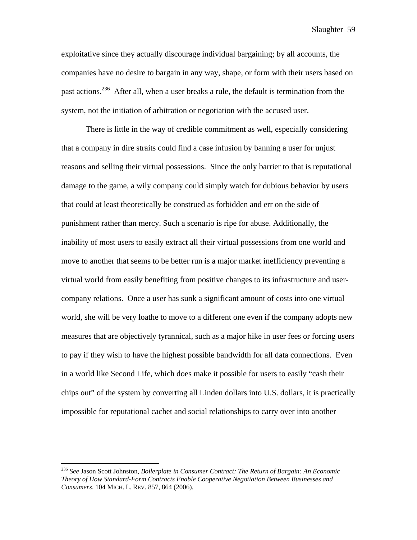exploitative since they actually discourage individual bargaining; by all accounts, the companies have no desire to bargain in any way, shape, or form with their users based on past actions.<sup>236</sup> After all, when a user breaks a rule, the default is termination from the system, not the initiation of arbitration or negotiation with the accused user.

There is little in the way of credible commitment as well, especially considering that a company in dire straits could find a case infusion by banning a user for unjust reasons and selling their virtual possessions. Since the only barrier to that is reputational damage to the game, a wily company could simply watch for dubious behavior by users that could at least theoretically be construed as forbidden and err on the side of punishment rather than mercy. Such a scenario is ripe for abuse. Additionally, the inability of most users to easily extract all their virtual possessions from one world and move to another that seems to be better run is a major market inefficiency preventing a virtual world from easily benefiting from positive changes to its infrastructure and usercompany relations. Once a user has sunk a significant amount of costs into one virtual world, she will be very loathe to move to a different one even if the company adopts new measures that are objectively tyrannical, such as a major hike in user fees or forcing users to pay if they wish to have the highest possible bandwidth for all data connections. Even in a world like Second Life, which does make it possible for users to easily "cash their chips out" of the system by converting all Linden dollars into U.S. dollars, it is practically impossible for reputational cachet and social relationships to carry over into another

<sup>236</sup> *See* Jason Scott Johnston, *Boilerplate in Consumer Contract: The Return of Bargain: An Economic Theory of How Standard-Form Contracts Enable Cooperative Negotiation Between Businesses and Consumers,* 104 MICH. L. REV. 857, 864 (2006).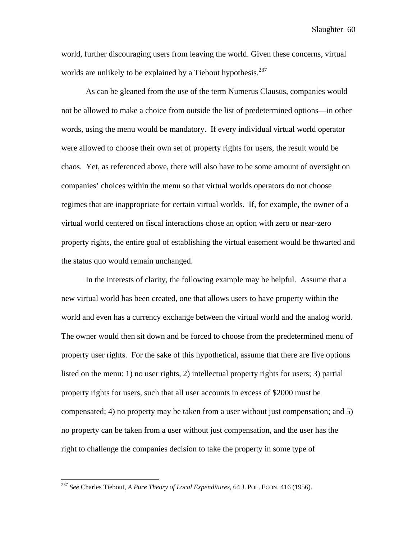world, further discouraging users from leaving the world. Given these concerns, virtual worlds are unlikely to be explained by a Tiebout hypothesis.<sup>237</sup>

As can be gleaned from the use of the term Numerus Clausus, companies would not be allowed to make a choice from outside the list of predetermined options—in other words, using the menu would be mandatory. If every individual virtual world operator were allowed to choose their own set of property rights for users, the result would be chaos. Yet, as referenced above, there will also have to be some amount of oversight on companies' choices within the menu so that virtual worlds operators do not choose regimes that are inappropriate for certain virtual worlds. If, for example, the owner of a virtual world centered on fiscal interactions chose an option with zero or near-zero property rights, the entire goal of establishing the virtual easement would be thwarted and the status quo would remain unchanged.

In the interests of clarity, the following example may be helpful. Assume that a new virtual world has been created, one that allows users to have property within the world and even has a currency exchange between the virtual world and the analog world. The owner would then sit down and be forced to choose from the predetermined menu of property user rights. For the sake of this hypothetical, assume that there are five options listed on the menu: 1) no user rights, 2) intellectual property rights for users; 3) partial property rights for users, such that all user accounts in excess of \$2000 must be compensated; 4) no property may be taken from a user without just compensation; and 5) no property can be taken from a user without just compensation, and the user has the right to challenge the companies decision to take the property in some type of

<sup>237</sup> *See* Charles Tiebout, *A Pure Theory of Local Expenditures*, 64 J. POL. ECON. 416 (1956).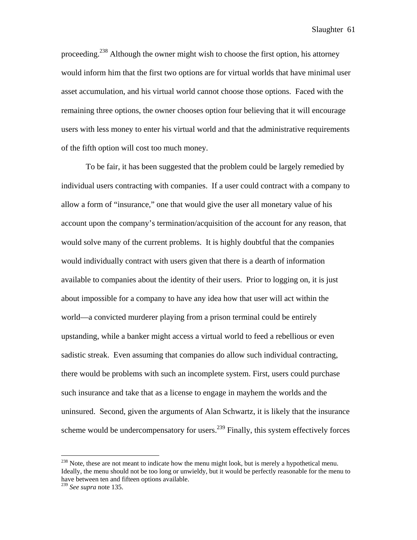proceeding.<sup>238</sup> Although the owner might wish to choose the first option, his attorney would inform him that the first two options are for virtual worlds that have minimal user asset accumulation, and his virtual world cannot choose those options. Faced with the remaining three options, the owner chooses option four believing that it will encourage users with less money to enter his virtual world and that the administrative requirements of the fifth option will cost too much money.

 To be fair, it has been suggested that the problem could be largely remedied by individual users contracting with companies. If a user could contract with a company to allow a form of "insurance," one that would give the user all monetary value of his account upon the company's termination/acquisition of the account for any reason, that would solve many of the current problems. It is highly doubtful that the companies would individually contract with users given that there is a dearth of information available to companies about the identity of their users. Prior to logging on, it is just about impossible for a company to have any idea how that user will act within the world—a convicted murderer playing from a prison terminal could be entirely upstanding, while a banker might access a virtual world to feed a rebellious or even sadistic streak. Even assuming that companies do allow such individual contracting, there would be problems with such an incomplete system. First, users could purchase such insurance and take that as a license to engage in mayhem the worlds and the uninsured. Second, given the arguments of Alan Schwartz, it is likely that the insurance scheme would be undercompensatory for users.<sup>239</sup> Finally, this system effectively forces

 $^{238}$  Note, these are not meant to indicate how the menu might look, but is merely a hypothetical menu. Ideally, the menu should not be too long or unwieldy, but it would be perfectly reasonable for the menu to have between ten and fifteen options available.

<sup>239</sup> *See supra* note 135.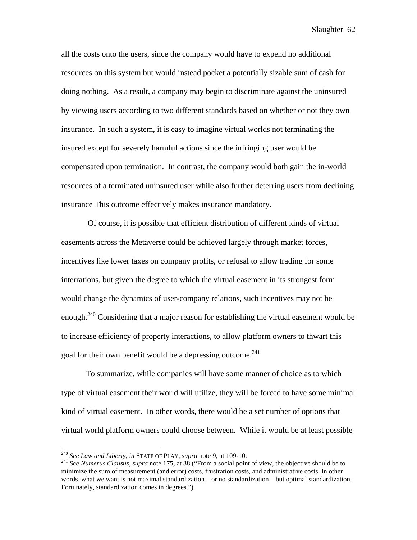all the costs onto the users, since the company would have to expend no additional resources on this system but would instead pocket a potentially sizable sum of cash for doing nothing. As a result, a company may begin to discriminate against the uninsured by viewing users according to two different standards based on whether or not they own insurance. In such a system, it is easy to imagine virtual worlds not terminating the insured except for severely harmful actions since the infringing user would be compensated upon termination. In contrast, the company would both gain the in-world resources of a terminated uninsured user while also further deterring users from declining insurance This outcome effectively makes insurance mandatory.

 Of course, it is possible that efficient distribution of different kinds of virtual easements across the Metaverse could be achieved largely through market forces, incentives like lower taxes on company profits, or refusal to allow trading for some interrations, but given the degree to which the virtual easement in its strongest form would change the dynamics of user-company relations, such incentives may not be enough.<sup>240</sup> Considering that a major reason for establishing the virtual easement would be to increase efficiency of property interactions, to allow platform owners to thwart this goal for their own benefit would be a depressing outcome.<sup>241</sup>

To summarize, while companies will have some manner of choice as to which type of virtual easement their world will utilize, they will be forced to have some minimal kind of virtual easement. In other words, there would be a set number of options that virtual world platform owners could choose between. While it would be at least possible

<sup>&</sup>lt;sup>240</sup> See Law and Liberty, in STATE OF PLAY, supra note 9, at 109-10.

<sup>&</sup>lt;sup>241</sup> See Numerus Clausus, *supra* note 175, at 38 ("From a social point of view, the objective should be to minimize the sum of measurement (and error) costs, frustration costs, and administrative costs. In other words, what we want is not maximal standardization—or no standardization—but optimal standardization. Fortunately, standardization comes in degrees.").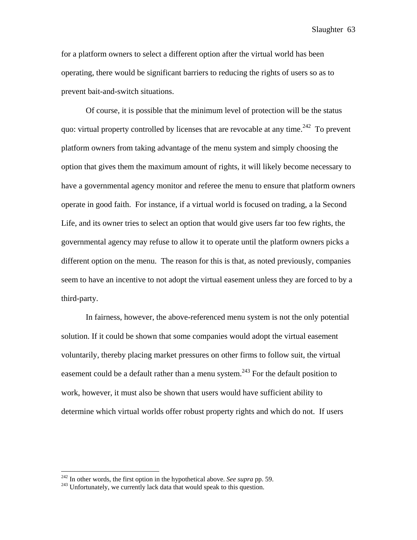for a platform owners to select a different option after the virtual world has been operating, there would be significant barriers to reducing the rights of users so as to prevent bait-and-switch situations.

Of course, it is possible that the minimum level of protection will be the status quo: virtual property controlled by licenses that are revocable at any time.<sup>242</sup> To prevent platform owners from taking advantage of the menu system and simply choosing the option that gives them the maximum amount of rights, it will likely become necessary to have a governmental agency monitor and referee the menu to ensure that platform owners operate in good faith. For instance, if a virtual world is focused on trading, a la Second Life, and its owner tries to select an option that would give users far too few rights, the governmental agency may refuse to allow it to operate until the platform owners picks a different option on the menu. The reason for this is that, as noted previously, companies seem to have an incentive to not adopt the virtual easement unless they are forced to by a third-party.

In fairness, however, the above-referenced menu system is not the only potential solution. If it could be shown that some companies would adopt the virtual easement voluntarily, thereby placing market pressures on other firms to follow suit, the virtual easement could be a default rather than a menu system.<sup>243</sup> For the default position to work, however, it must also be shown that users would have sufficient ability to determine which virtual worlds offer robust property rights and which do not. If users

<sup>&</sup>lt;sup>242</sup> In other words, the first option in the hypothetical above. See supra pp. 59.

<sup>&</sup>lt;sup>243</sup> Unfortunately, we currently lack data that would speak to this question.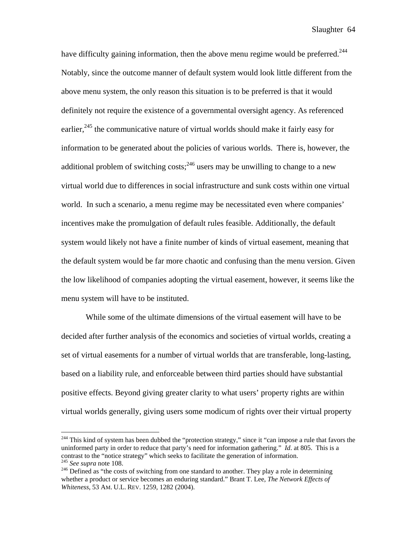have difficulty gaining information, then the above menu regime would be preferred.<sup>244</sup> Notably, since the outcome manner of default system would look little different from the above menu system, the only reason this situation is to be preferred is that it would definitely not require the existence of a governmental oversight agency. As referenced earlier,  $245$  the communicative nature of virtual worlds should make it fairly easy for information to be generated about the policies of various worlds. There is, however, the additional problem of switching  $costs$ ;<sup>246</sup> users may be unwilling to change to a new virtual world due to differences in social infrastructure and sunk costs within one virtual world. In such a scenario, a menu regime may be necessitated even where companies' incentives make the promulgation of default rules feasible. Additionally, the default system would likely not have a finite number of kinds of virtual easement, meaning that the default system would be far more chaotic and confusing than the menu version. Given the low likelihood of companies adopting the virtual easement, however, it seems like the menu system will have to be instituted.

 While some of the ultimate dimensions of the virtual easement will have to be decided after further analysis of the economics and societies of virtual worlds, creating a set of virtual easements for a number of virtual worlds that are transferable, long-lasting, based on a liability rule, and enforceable between third parties should have substantial positive effects. Beyond giving greater clarity to what users' property rights are within virtual worlds generally, giving users some modicum of rights over their virtual property

 $^{244}$  This kind of system has been dubbed the "protection strategy," since it "can impose a rule that favors the uninformed party in order to reduce that party's need for information gathering." *Id*. at 805. This is a contrast to the "notice strategy" which seeks to facilitate the generation of information.<br><sup>245</sup> See supra note 108.

<sup>&</sup>lt;sup>246</sup> Defined as "the costs of switching from one standard to another. They play a role in determining whether a product or service becomes an enduring standard." Brant T. Lee, *The Network Effects of Whiteness*, 53 AM. U.L. REV. 1259, 1282 (2004).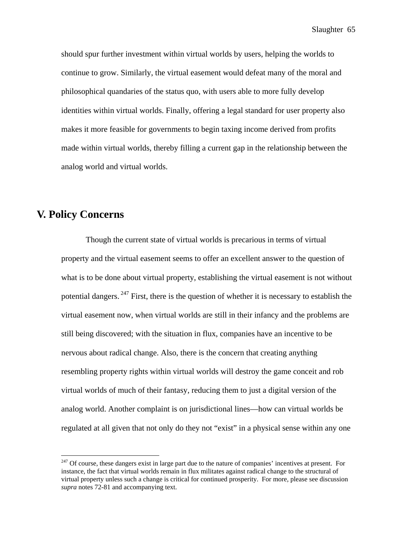should spur further investment within virtual worlds by users, helping the worlds to continue to grow. Similarly, the virtual easement would defeat many of the moral and philosophical quandaries of the status quo, with users able to more fully develop identities within virtual worlds. Finally, offering a legal standard for user property also makes it more feasible for governments to begin taxing income derived from profits made within virtual worlds, thereby filling a current gap in the relationship between the analog world and virtual worlds.

# **V. Policy Concerns**

 $\overline{a}$ 

 Though the current state of virtual worlds is precarious in terms of virtual property and the virtual easement seems to offer an excellent answer to the question of what is to be done about virtual property, establishing the virtual easement is not without potential dangers.  $^{247}$  First, there is the question of whether it is necessary to establish the virtual easement now, when virtual worlds are still in their infancy and the problems are still being discovered; with the situation in flux, companies have an incentive to be nervous about radical change. Also, there is the concern that creating anything resembling property rights within virtual worlds will destroy the game conceit and rob virtual worlds of much of their fantasy, reducing them to just a digital version of the analog world. Another complaint is on jurisdictional lines—how can virtual worlds be regulated at all given that not only do they not "exist" in a physical sense within any one

 $247$  Of course, these dangers exist in large part due to the nature of companies' incentives at present. For instance, the fact that virtual worlds remain in flux militates against radical change to the structural of virtual property unless such a change is critical for continued prosperity. For more, please see discussion *supra* notes 72-81 and accompanying text.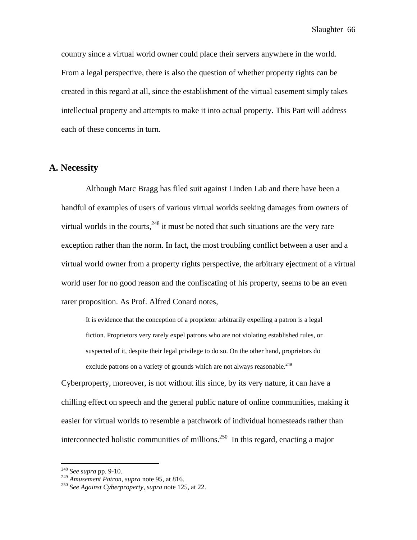country since a virtual world owner could place their servers anywhere in the world. From a legal perspective, there is also the question of whether property rights can be created in this regard at all, since the establishment of the virtual easement simply takes intellectual property and attempts to make it into actual property. This Part will address each of these concerns in turn.

## **A. Necessity**

Although Marc Bragg has filed suit against Linden Lab and there have been a handful of examples of users of various virtual worlds seeking damages from owners of virtual worlds in the courts,  $248$  it must be noted that such situations are the very rare exception rather than the norm. In fact, the most troubling conflict between a user and a virtual world owner from a property rights perspective, the arbitrary ejectment of a virtual world user for no good reason and the confiscating of his property, seems to be an even rarer proposition. As Prof. Alfred Conard notes,

It is evidence that the conception of a proprietor arbitrarily expelling a patron is a legal fiction. Proprietors very rarely expel patrons who are not violating established rules, or suspected of it, despite their legal privilege to do so. On the other hand, proprietors do exclude patrons on a variety of grounds which are not always reasonable.<sup>249</sup>

Cyberproperty, moreover, is not without ills since, by its very nature, it can have a chilling effect on speech and the general public nature of online communities, making it easier for virtual worlds to resemble a patchwork of individual homesteads rather than interconnected holistic communities of millions.<sup>250</sup> In this regard, enacting a major

<sup>248</sup> *See supra* pp. 9-10.

<sup>249</sup> *Amusement Patron*, *supra* note 95, at 816. 250 *See Against Cyberproperty*, *supra* note 125, at 22.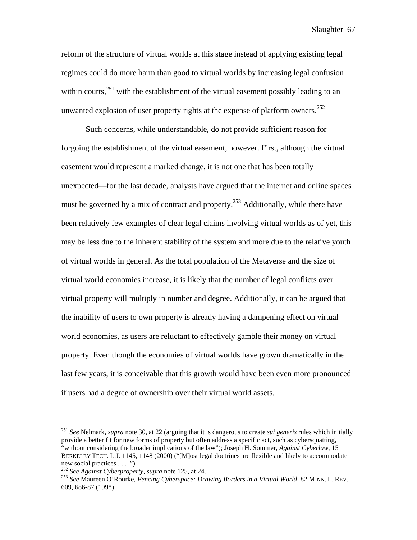reform of the structure of virtual worlds at this stage instead of applying existing legal regimes could do more harm than good to virtual worlds by increasing legal confusion within courts,  $251$  with the establishment of the virtual easement possibly leading to an unwanted explosion of user property rights at the expense of platform owners.<sup>252</sup>

 Such concerns, while understandable, do not provide sufficient reason for forgoing the establishment of the virtual easement, however. First, although the virtual easement would represent a marked change, it is not one that has been totally unexpected—for the last decade, analysts have argued that the internet and online spaces must be governed by a mix of contract and property.<sup>253</sup> Additionally, while there have been relatively few examples of clear legal claims involving virtual worlds as of yet, this may be less due to the inherent stability of the system and more due to the relative youth of virtual worlds in general. As the total population of the Metaverse and the size of virtual world economies increase, it is likely that the number of legal conflicts over virtual property will multiply in number and degree. Additionally, it can be argued that the inability of users to own property is already having a dampening effect on virtual world economies, as users are reluctant to effectively gamble their money on virtual property. Even though the economies of virtual worlds have grown dramatically in the last few years, it is conceivable that this growth would have been even more pronounced if users had a degree of ownership over their virtual world assets.

<sup>251</sup> *See* Nelmark, *supra* note 30, at 22 (arguing that it is dangerous to create *sui generis* rules which initially provide a better fit for new forms of property but often address a specific act, such as cybersquatting, "without considering the broader implications of the law"); Joseph H. Sommer, *Against Cyberlaw*, 15 BERKELEY TECH. L.J. 1145, 1148 (2000) ("[M]ost legal doctrines are flexible and likely to accommodate new social practices . . . .").<br><sup>252</sup> See Against Cyberproperty, supra note 125, at 24.

<sup>&</sup>lt;sup>253</sup> See Maureen O'Rourke, *Fencing Cyberspace: Drawing Borders in a Virtual World*, 82 MINN. L. REV. 609, 686-87 (1998).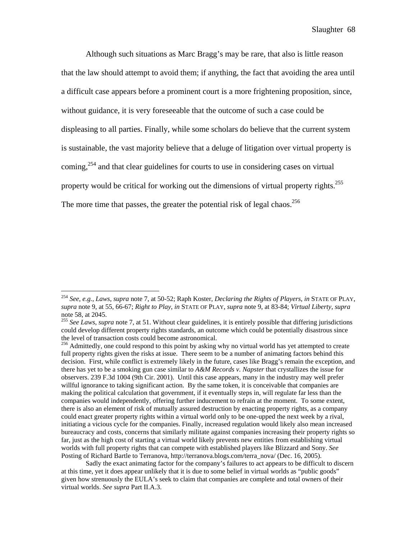Although such situations as Marc Bragg's may be rare, that also is little reason that the law should attempt to avoid them; if anything, the fact that avoiding the area until a difficult case appears before a prominent court is a more frightening proposition, since, without guidance, it is very foreseeable that the outcome of such a case could be displeasing to all parties. Finally, while some scholars do believe that the current system is sustainable, the vast majority believe that a deluge of litigation over virtual property is coming,<sup>254</sup> and that clear guidelines for courts to use in considering cases on virtual property would be critical for working out the dimensions of virtual property rights.<sup>255</sup> The more time that passes, the greater the potential risk of legal chaos.<sup>256</sup>

 $\overline{a}$ 

 Sadly the exact animating factor for the company's failures to act appears to be difficult to discern at this time, yet it does appear unlikely that it is due to some belief in virtual worlds as "public goods" given how strenuously the EULA's seek to claim that companies are complete and total owners of their virtual worlds. *See supra* Part II.A.3.

<sup>254</sup> *See, e.g.*, *Laws*, *supra* note 7, at 50-52; Raph Koster, *Declaring the Rights of Players*, *in* STATE OF PLAY, *supra* note 9, at 55, 66-67; *Right to Play*, *in* STATE OF PLAY, *supra* note 9, at 83-84; *Virtual Liberty*, *supra* note 58, at 2045.

<sup>255</sup> *See Laws*, *supra* note 7, at 51. Without clear guidelines, it is entirely possible that differing jurisdictions could develop different property rights standards, an outcome which could be potentially disastrous since the level of transaction costs could become astronomical.

<sup>&</sup>lt;sup>256</sup> Admittedly, one could respond to this point by asking why no virtual world has yet attempted to create full property rights given the risks at issue. There seem to be a number of animating factors behind this decision. First, while conflict is extremely likely in the future, cases like Bragg's remain the exception, and there has yet to be a smoking gun case similar to *A&M Records v. Napster* that crystallizes the issue for observers. 239 F.3d 1004 (9th Cir. 2001). Until this case appears, many in the industry may well prefer willful ignorance to taking significant action. By the same token, it is conceivable that companies are making the political calculation that government, if it eventually steps in, will regulate far less than the companies would independently, offering further inducement to refrain at the moment. To some extent, there is also an element of risk of mutually assured destruction by enacting property rights, as a company could enact greater property rights within a virtual world only to be one-upped the next week by a rival, initiating a vicious cycle for the companies. Finally, increased regulation would likely also mean increased bureaucracy and costs, concerns that similarly militate against companies increasing their property rights so far, just as the high cost of starting a virtual world likely prevents new entities from establishing virtual worlds with full property rights that can compete with established players like Blizzard and Sony. *See*  Posting of Richard Bartle to Terranova, http://terranova.blogs.com/terra\_nova/ (Dec. 16, 2005).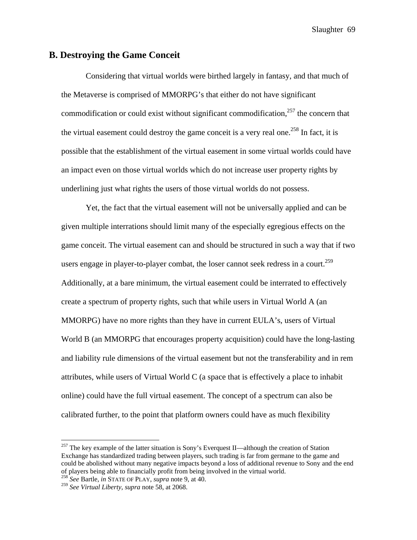## **B. Destroying the Game Conceit**

Considering that virtual worlds were birthed largely in fantasy, and that much of the Metaverse is comprised of MMORPG's that either do not have significant commodification or could exist without significant commodification,  $257$  the concern that the virtual easement could destroy the game conceit is a very real one.<sup>258</sup> In fact, it is possible that the establishment of the virtual easement in some virtual worlds could have an impact even on those virtual worlds which do not increase user property rights by underlining just what rights the users of those virtual worlds do not possess.

Yet, the fact that the virtual easement will not be universally applied and can be given multiple interrations should limit many of the especially egregious effects on the game conceit. The virtual easement can and should be structured in such a way that if two users engage in player-to-player combat, the loser cannot seek redress in a court.<sup>259</sup> Additionally, at a bare minimum, the virtual easement could be interrated to effectively create a spectrum of property rights, such that while users in Virtual World A (an MMORPG) have no more rights than they have in current EULA's, users of Virtual World B (an MMORPG that encourages property acquisition) could have the long-lasting and liability rule dimensions of the virtual easement but not the transferability and in rem attributes, while users of Virtual World C (a space that is effectively a place to inhabit online) could have the full virtual easement. The concept of a spectrum can also be calibrated further, to the point that platform owners could have as much flexibility

 $^{257}$  The key example of the latter situation is Sony's Everquest II—although the creation of Station Exchange has standardized trading between players, such trading is far from germane to the game and could be abolished without many negative impacts beyond a loss of additional revenue to Sony and the end of players being able to financially profit from being involved in the virtual world.

<sup>258</sup> *See* Bartle, *in* STATE OF PLAY, *supra* note 9, at 40.

<sup>259</sup> *See Virtual Liberty*, *supra* note 58, at 2068.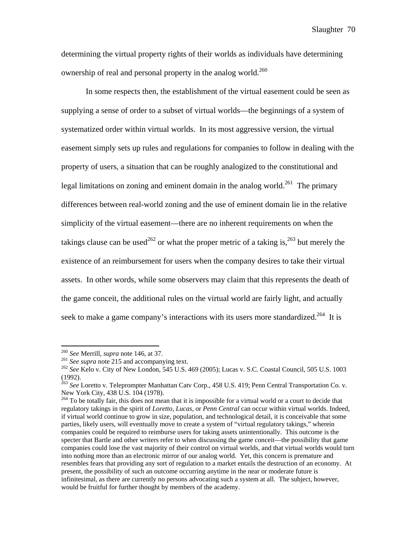determining the virtual property rights of their worlds as individuals have determining ownership of real and personal property in the analog world.<sup>260</sup>

In some respects then, the establishment of the virtual easement could be seen as supplying a sense of order to a subset of virtual worlds—the beginnings of a system of systematized order within virtual worlds. In its most aggressive version, the virtual easement simply sets up rules and regulations for companies to follow in dealing with the property of users, a situation that can be roughly analogized to the constitutional and legal limitations on zoning and eminent domain in the analog world.<sup>261</sup> The primary differences between real-world zoning and the use of eminent domain lie in the relative simplicity of the virtual easement—there are no inherent requirements on when the takings clause can be used<sup>262</sup> or what the proper metric of a taking is,<sup>263</sup> but merely the existence of an reimbursement for users when the company desires to take their virtual assets. In other words, while some observers may claim that this represents the death of the game conceit, the additional rules on the virtual world are fairly light, and actually seek to make a game company's interactions with its users more standardized.<sup>264</sup> It is

<sup>&</sup>lt;sup>260</sup> See Merrill, supra note 146, at 37.

<sup>&</sup>lt;sup>261</sup> *See supra* note 215 and accompanying text.<br><sup>262</sup> *See* Kelo v. City of New London, 545 U.S. 469 (2005); Lucas v. S.C. Coastal Council, 505 U.S. 1003 (1992).

<sup>&</sup>lt;sup>263</sup> See Loretto v. Teleprompter Manhattan Catv Corp., 458 U.S. 419; Penn Central Transportation Co. v. New York City, 438 U.S. 104 (1978).

<sup>&</sup>lt;sup>264</sup> To be totally fair, this does not mean that it is impossible for a virtual world or a court to decide that regulatory takings in the spirit of *Loretto*, *Lucas,* or *Penn Central* can occur within virtual worlds. Indeed, if virtual world continue to grow in size, population, and technological detail, it is conceivable that some parties, likely users, will eventually move to create a system of "virtual regulatory takings," wherein companies could be required to reimburse users for taking assets unintentionally. This outcome is the specter that Bartle and other writers refer to when discussing the game conceit—the possibility that game companies could lose the vast majority of their control on virtual worlds, and that virtual worlds would turn into nothing more than an electronic mirror of our analog world. Yet, this concern is premature and resembles fears that providing any sort of regulation to a market entails the destruction of an economy. At present, the possibility of such an outcome occurring anytime in the near or moderate future is infinitesimal, as there are currently no persons advocating such a system at all. The subject, however, would be fruitful for further thought by members of the academy.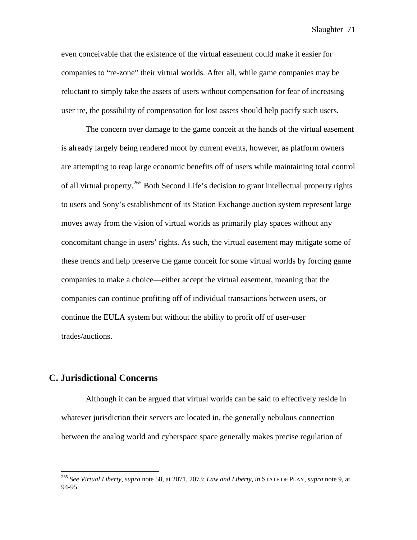even conceivable that the existence of the virtual easement could make it easier for companies to "re-zone" their virtual worlds. After all, while game companies may be reluctant to simply take the assets of users without compensation for fear of increasing user ire, the possibility of compensation for lost assets should help pacify such users.

 The concern over damage to the game conceit at the hands of the virtual easement is already largely being rendered moot by current events, however, as platform owners are attempting to reap large economic benefits off of users while maintaining total control of all virtual property.<sup>265</sup> Both Second Life's decision to grant intellectual property rights to users and Sony's establishment of its Station Exchange auction system represent large moves away from the vision of virtual worlds as primarily play spaces without any concomitant change in users' rights. As such, the virtual easement may mitigate some of these trends and help preserve the game conceit for some virtual worlds by forcing game companies to make a choice—either accept the virtual easement, meaning that the companies can continue profiting off of individual transactions between users, or continue the EULA system but without the ability to profit off of user-user trades/auctions.

## **C. Jurisdictional Concerns**

1

 Although it can be argued that virtual worlds can be said to effectively reside in whatever jurisdiction their servers are located in, the generally nebulous connection between the analog world and cyberspace space generally makes precise regulation of

<sup>265</sup> *See Virtual Liberty*, *supra* note 58, at 2071, 2073; *Law and Liberty*, *in* STATE OF PLAY, *supra* note 9, at 94-95.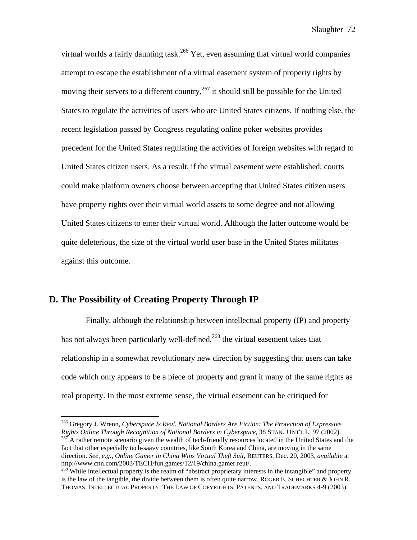virtual worlds a fairly daunting task.<sup>266</sup> Yet, even assuming that virtual world companies attempt to escape the establishment of a virtual easement system of property rights by moving their servers to a different country,  $267$  it should still be possible for the United States to regulate the activities of users who are United States citizens. If nothing else, the recent legislation passed by Congress regulating online poker websites provides precedent for the United States regulating the activities of foreign websites with regard to United States citizen users. As a result, if the virtual easement were established, courts could make platform owners choose between accepting that United States citizen users have property rights over their virtual world assets to some degree and not allowing United States citizens to enter their virtual world. Although the latter outcome would be quite deleterious, the size of the virtual world user base in the United States militates against this outcome.

## **D. The Possibility of Creating Property Through IP**

 $\overline{a}$ 

 Finally, although the relationship between intellectual property (IP) and property has not always been particularly well-defined, $2^{68}$  the virtual easement takes that relationship in a somewhat revolutionary new direction by suggesting that users can take code which only appears to be a piece of property and grant it many of the same rights as real property. In the most extreme sense, the virtual easement can be critiqued for

<sup>266</sup> Gregory J. Wrenn, *Cyberspace Is Real, National Borders Are Fiction: The Protection of Expressive Rights Online Through Recognition of National Borders in Cyberspace*, 38 STAN. J INT'L L. 97 (2002).<br><sup>267</sup> A rather remote scenario given the wealth of tech-friendly resources located in the United States and the

fact that other especially tech-saavy countries, like South Korea and China, are moving in the same direction. *See*, *e.g.*, *Online Gamer in China Wins Virtual Theft Suit*, REUTERS, Dec. 20, 2003, *available* at http://www.cnn.com/2003/TECH/fun.games/12/19/china.gamer.reut/. 268 While intellectual property is the realm of "abstract proprietary interests in the intangible" and property

is the law of the tangible, the divide between them is often quite narrow. ROGER E. SCHECHTER & JOHN R. THOMAS, INTELLECTUAL PROPERTY: THE LAW OF COPYRIGHTS, PATENTS, AND TRADEMARKS 4-9 (2003).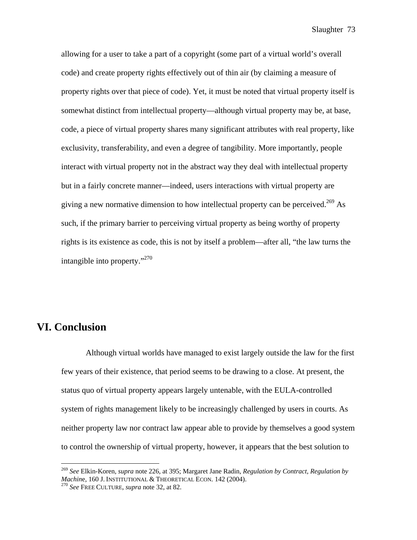allowing for a user to take a part of a copyright (some part of a virtual world's overall code) and create property rights effectively out of thin air (by claiming a measure of property rights over that piece of code). Yet, it must be noted that virtual property itself is somewhat distinct from intellectual property—although virtual property may be, at base, code, a piece of virtual property shares many significant attributes with real property, like exclusivity, transferability, and even a degree of tangibility. More importantly, people interact with virtual property not in the abstract way they deal with intellectual property but in a fairly concrete manner—indeed, users interactions with virtual property are giving a new normative dimension to how intellectual property can be perceived.<sup>269</sup> As such, if the primary barrier to perceiving virtual property as being worthy of property rights is its existence as code, this is not by itself a problem—after all, "the law turns the intangible into property."<sup>270</sup>

## **VI. Conclusion**

 $\overline{a}$ 

Although virtual worlds have managed to exist largely outside the law for the first few years of their existence, that period seems to be drawing to a close. At present, the status quo of virtual property appears largely untenable, with the EULA-controlled system of rights management likely to be increasingly challenged by users in courts. As neither property law nor contract law appear able to provide by themselves a good system to control the ownership of virtual property, however, it appears that the best solution to

<sup>269</sup> *See* Elkin-Koren, *supra* note 226, at 395; Margaret Jane Radin, *Regulation by Contract, Regulation by Machine*, 160 J. INSTITUTIONAL & THEORETICAL ECON. 142 (2004).<br><sup>270</sup> *See* FREE CULTURE, *supra* note 32, at 82.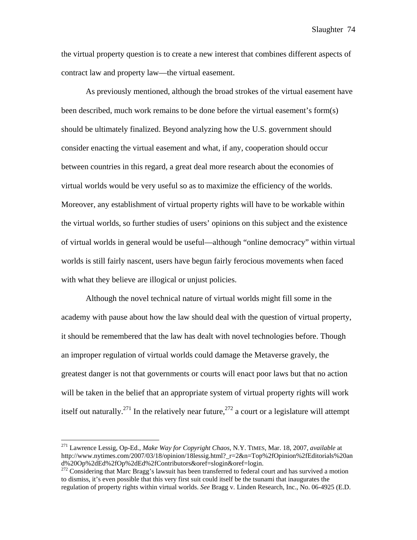Slaughter 74

the virtual property question is to create a new interest that combines different aspects of contract law and property law—the virtual easement.

As previously mentioned, although the broad strokes of the virtual easement have been described, much work remains to be done before the virtual easement's form(s) should be ultimately finalized. Beyond analyzing how the U.S. government should consider enacting the virtual easement and what, if any, cooperation should occur between countries in this regard, a great deal more research about the economies of virtual worlds would be very useful so as to maximize the efficiency of the worlds. Moreover, any establishment of virtual property rights will have to be workable within the virtual worlds, so further studies of users' opinions on this subject and the existence of virtual worlds in general would be useful—although "online democracy" within virtual worlds is still fairly nascent, users have begun fairly ferocious movements when faced with what they believe are illogical or unjust policies.

Although the novel technical nature of virtual worlds might fill some in the academy with pause about how the law should deal with the question of virtual property, it should be remembered that the law has dealt with novel technologies before. Though an improper regulation of virtual worlds could damage the Metaverse gravely, the greatest danger is not that governments or courts will enact poor laws but that no action will be taken in the belief that an appropriate system of virtual property rights will work itself out naturally.<sup>271</sup> In the relatively near future,<sup>272</sup> a court or a legislature will attempt

1

<sup>271</sup> Lawrence Lessig, Op-Ed., *Make Way for Copyright Chaos*, N.Y. TIMES, Mar. 18, 2007, *available* at http://www.nytimes.com/2007/03/18/opinion/18lessig.html?\_r=2&n=Top%2fOpinion%2fEditorials%20an d%20Op%2dEd%2fOp%2dEd%2fContributors&oref=slogin&oref=login.

<sup>&</sup>lt;sup>272</sup> Considering that Marc Bragg's lawsuit has been transferred to federal court and has survived a motion to dismiss, it's even possible that this very first suit could itself be the tsunami that inaugurates the regulation of property rights within virtual worlds. *See* Bragg v. Linden Research, Inc., No. 06-4925 (E.D.